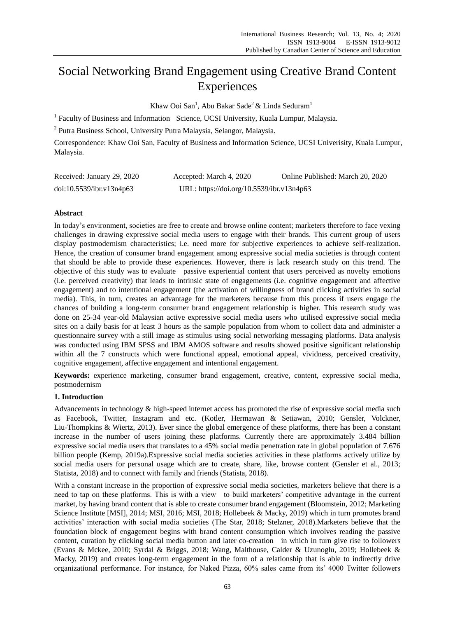# Social Networking Brand Engagement using Creative Brand Content Experiences

Khaw Ooi San<sup>1</sup>, Abu Bakar Sade<sup>2</sup> & Linda Seduram<sup>1</sup>

<sup>1</sup> Faculty of Business and Information Science, UCSI University, Kuala Lumpur, Malaysia.

<sup>2</sup> Putra Business School, University Putra Malaysia, Selangor, Malaysia.

Correspondence: Khaw Ooi San, Faculty of Business and Information Science, UCSI Univerisity, Kuala Lumpur, Malaysia.

| Received: January 29, 2020 | Accepted: March 4, 2020                   | Online Published: March 20, 2020 |
|----------------------------|-------------------------------------------|----------------------------------|
| doi:10.5539/ibr.v13n4p63   | URL: https://doi.org/10.5539/ibr.v13n4p63 |                                  |

# **Abstract**

In today"s environment, societies are free to create and browse online content; marketers therefore to face vexing challenges in drawing expressive social media users to engage with their brands. This current group of users display postmodernism characteristics; i.e. need more for subjective experiences to achieve self-realization. Hence, the creation of consumer brand engagement among expressive social media societies is through content that should be able to provide these experiences. However, there is lack research study on this trend. The objective of this study was to evaluate passive experiential content that users perceived as novelty emotions (i.e. perceived creativity) that leads to intrinsic state of engagements (i.e. cognitive engagement and affective engagement) and to intentional engagement (the activation of willingness of brand clicking activities in social media). This, in turn, creates an advantage for the marketers because from this process if users engage the chances of building a long-term consumer brand engagement relationship is higher. This research study was done on 25-34 year-old Malaysian active expressive social media users who utilised expressive social media sites on a daily basis for at least 3 hours as the sample population from whom to collect data and administer a questionnaire survey with a still image as stimulus using social networking messaging platforms. Data analysis was conducted using IBM SPSS and IBM AMOS software and results showed positive significant relationship within all the 7 constructs which were functional appeal, emotional appeal, vividness, perceived creativity, cognitive engagement, affective engagement and intentional engagement.

**Keywords:** experience marketing, consumer brand engagement, creative, content, expressive social media, postmodernism

# **1. Introduction**

Advancements in technology & high-speed internet access has promoted the rise of expressive social media such as Facebook, Twitter, Instagram and etc. (Kotler, Hermawan & Setiawan, 2010; Gensler, Volckner, Liu-Thompkins & Wiertz, 2013). Ever since the global emergence of these platforms, there has been a constant increase in the number of users joining these platforms. Currently there are approximately 3.484 billion expressive social media users that translates to a 45% social media penetration rate in global population of 7.676 billion people (Kemp, 2019a).Expressive social media societies activities in these platforms actively utilize by social media users for personal usage which are to create, share, like, browse content (Gensler et al., 2013; Statista, 2018) and to connect with family and friends (Statista, 2018).

With a constant increase in the proportion of expressive social media societies, marketers believe that there is a need to tap on these platforms. This is with a view to build marketers" competitive advantage in the current market, by having brand content that is able to create consumer brand engagement (Bloomstein, 2012; Marketing Science Institute [MSI], 2014; MSI, 2016; MSI, 2018; Hollebeek & Macky, 2019) which in turn promotes brand activities' interaction with social media societies (The Star, 2018; Stelzner, 2018).Marketers believe that the foundation block of engagement begins with brand content consumption which involves reading the passive content, curation by clicking social media button and later co-creation in which in turn give rise to followers (Evans & Mckee, 2010; Syrdal & Briggs, 2018; Wang, Malthouse, Calder & Uzunoglu, 2019; Hollebeek & Macky, 2019) and creates long-term engagement in the form of a relationship that is able to indirectly drive organizational performance. For instance, for Naked Pizza, 60% sales came from its' 4000 Twitter followers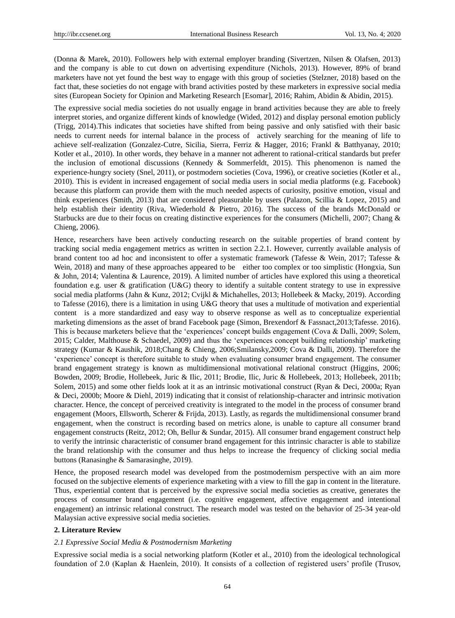(Donna & Marek, 2010). Followers help with external employer branding (Sivertzen, Nilsen & Olafsen, 2013) and the company is able to cut down on advertising expenditure (Nichols, 2013). However, 89% of brand marketers have not yet found the best way to engage with this group of societies (Stelzner, 2018) based on the fact that, these societies do not engage with brand activities posted by these marketers in expressive social media sites (European Society for Opinion and Marketing Research [Esomar], 2016; Rahim, Abidin & Abidin, 2015).

The expressive social media societies do not usually engage in brand activities because they are able to freely interpret stories, and organize different kinds of knowledge (Wided, 2012) and display personal emotion publicly (Trigg, 2014).This indicates that societies have shifted from being passive and only satisfied with their basic needs to current needs for internal balance in the process of actively searching for the meaning of life to achieve self-realization (Gonzalez-Cutre, Sicilia, Sierra, Ferriz & Hagger, 2016; Frankl & Batthyanay, 2010; Kotler et al., 2010). In other words, they behave in a manner not adherent to rational-critical standards but prefer the inclusion of emotional discussions (Kennedy & Sommerfeldt, 2015). This phenomenon is named the experience-hungry society (Snel, 2011), or postmodern societies (Cova, 1996), or creative societies (Kotler et al., 2010). This is evident in increased engagement of social media users in social media platforms (e.g. Facebook) because this platform can provide them with the much needed aspects of curiosity, positive emotion, visual and think experiences (Smith, 2013) that are considered pleasurable by users (Palazon, Scillia & Lopez, 2015) and help establish their identity (Riva, Wiederhold & Pietro, 2016). The success of the brands McDonald or Starbucks are due to their focus on creating distinctive experiences for the consumers (Michelli, 2007; Chang & Chieng, 2006).

Hence, researchers have been actively conducting research on the suitable properties of brand content by tracking social media engagement metrics as written in section 2.2.1. However, currently available analysis of brand content too ad hoc and inconsistent to offer a systematic framework (Tafesse & Wein, 2017; Tafesse & Wein, 2018) and many of these approaches appeared to be either too complex or too simplistic (Hongxia, Sun & John, 2014; Valentina & Laurence, 2019). A limited number of articles have explored this using a theoretical foundation e.g. user & gratification (U&G) theory to identify a suitable content strategy to use in expressive social media platforms (Jahn & Kunz, 2012; Cvijkl & Michahelles, 2013; Hollebeek & Macky, 2019). According to Tafesse (2016), there is a limitation in using U&G theory that uses a multitude of motivation and experiential content is a more standardized and easy way to observe response as well as to conceptualize experiential marketing dimensions as the asset of brand Facebook page (Simon, Brexendorf & Fassnact,2013;Tafesse. 2016). This is because marketers believe that the "experiences" concept builds engagement (Cova & Dalli, 2009; Solem, 2015; Calder, Malthouse & Schaedel, 2009) and thus the "experiences concept building relationship" marketing strategy (Kumar & Kaushik, 2018;Chang & Chieng, 2006;Smilansky,2009; Cova & Dalli, 2009). Therefore the "experience" concept is therefore suitable to study when evaluating consumer brand engagement. The consumer brand engagement strategy is known as multidimensional motivational relational construct (Higgins, 2006; Bowden, 2009; Brodie, Hollebeek, Juric & Ilic, 2011; Brodie, Ilic, Juric & Hollebeek, 2013; Hollebeek, 2011b; Solem, 2015) and some other fields look at it as an intrinsic motivational construct (Ryan & Deci, 2000a; Ryan & Deci, 2000b; Moore & Diehl, 2019) indicating that it consist of relationship-character and intrinsic motivation character. Hence, the concept of perceived creativity is integrated to the model in the process of consumer brand engagement (Moors, Ellsworth, Scherer & Frijda, 2013). Lastly, as regards the multidimensional consumer brand engagement, when the construct is recording based on metrics alone, is unable to capture all consumer brand engagement constructs (Reitz, 2012; Oh, Bellur & Sundar, 2015). All consumer brand engagement construct help to verify the intrinsic characteristic of consumer brand engagement for this intrinsic character is able to stabilize the brand relationship with the consumer and thus helps to increase the frequency of clicking social media buttons (Ranasinghe & Samarasinghe, 2019).

Hence, the proposed research model was developed from the postmodernism perspective with an aim more focused on the subjective elements of experience marketing with a view to fill the gap in content in the literature. Thus, experiential content that is perceived by the expressive social media societies as creative, generates the process of consumer brand engagement (i.e. cognitive engagement, affective engagement and intentional engagement) an intrinsic relational construct. The research model was tested on the behavior of 25-34 year-old Malaysian active expressive social media societies.

# **2. Literature Review**

#### *2.1 Expressive Social Media & Postmodernism Marketing*

Expressive social media is a social networking platform (Kotler et al., 2010) from the ideological technological foundation of 2.0 (Kaplan & Haenlein, 2010). It consists of a collection of registered users" profile (Trusov,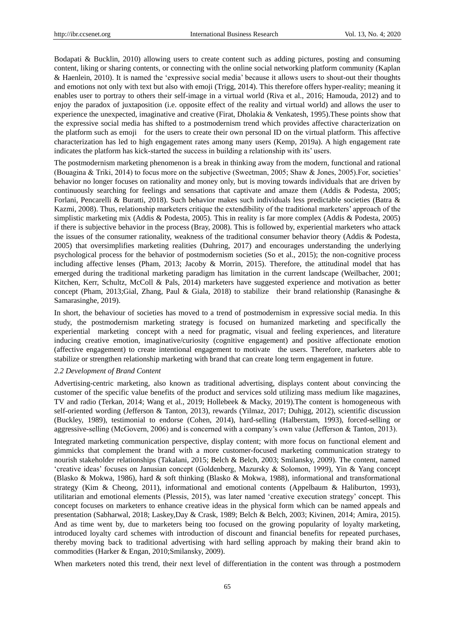Bodapati & Bucklin, 2010) allowing users to create content such as adding pictures, posting and consuming content, liking or sharing contents, or connecting with the online social networking platform community (Kaplan & Haenlein, 2010). It is named the "expressive social media" because it allows users to shout-out their thoughts and emotions not only with text but also with emoji (Trigg, 2014). This therefore offers hyper-reality; meaning it enables user to portray to others their self-image in a virtual world (Riva et al., 2016; Hamouda, 2012) and to enjoy the paradox of juxtaposition (i.e. opposite effect of the reality and virtual world) and allows the user to experience the unexpected, imaginative and creative (Firat, Dholakia & Venkatesh, 1995).These points show that the expressive social media has shifted to a postmodernism trend which provides affective characterization on the platform such as emoji for the users to create their own personal ID on the virtual platform. This affective characterization has led to high engagement rates among many users (Kemp, 2019a). A high engagement rate indicates the platform has kick-started the success in building a relationship with its' users.

The postmodernism marketing phenomenon is a break in thinking away from the modern, functional and rational (Bouagina & Triki, 2014) to focus more on the subjective (Sweetman, 2005; Shaw & Jones, 2005).For, societies" behavior no longer focuses on rationality and money only, but is moving towards individuals that are driven by continuously searching for feelings and sensations that captivate and amaze them (Addis & Podesta, 2005; Forlani, Pencarelli & Buratti, 2018). Such behavior makes such individuals less predictable societies (Batra & Kazmi, 2008). Thus, relationship marketers critique the extendibility of the traditional marketers" approach of the simplistic marketing mix (Addis & Podesta, 2005). This in reality is far more complex (Addis & Podesta, 2005) if there is subjective behavior in the process (Bray, 2008). This is followed by, experiential marketers who attack the issues of the consumer rationality, weakness of the traditional consumer behavior theory (Addis & Podesta, 2005) that oversimplifies marketing realities (Duhring, 2017) and encourages understanding the underlying psychological process for the behavior of postmodernism societies (So et al., 2015); the non-cognitive process including affective lenses (Pham, 2013; Jacoby & Morrin, 2015). Therefore, the attitudinal model that has emerged during the traditional marketing paradigm has limitation in the current landscape (Weilbacher, 2001; Kitchen, Kerr, Schultz, McColl & Pals, 2014) marketers have suggested experience and motivation as better concept (Pham, 2013;Gial, Zhang, Paul & Giala, 2018) to stabilize their brand relationship (Ranasinghe & Samarasinghe, 2019).

In short, the behaviour of societies has moved to a trend of postmodernism in expressive social media. In this study, the postmodernism marketing strategy is focused on humanized marketing and specifically the experiential marketing concept with a need for pragmatic, visual and feeling experiences, and literature inducing creative emotion, imaginative/curiosity (cognitive engagement) and positive affectionate emotion (affective engagement) to create intentional engagement to motivate the users. Therefore, marketers able to stabilize or strengthen relationship marketing with brand that can create long term engagement in future.

# *2.2 Development of Brand Content*

Advertising-centric marketing, also known as traditional advertising, displays content about convincing the customer of the specific value benefits of the product and services sold utilizing mass medium like magazines, TV and radio (Terkan, 2014; Wang et al., 2019; Hollebeek & Macky, 2019).The content is homogeneous with self-oriented wording (Jefferson & Tanton, 2013), rewards (Yilmaz, 2017; Duhigg, 2012), scientific discussion (Buckley, 1989), testimonial to endorse (Cohen, 2014), hard-selling (Halberstam, 1993), forced-selling or aggressive-selling (McGovern, 2006) and is concerned with a company"s own value (Jefferson & Tanton, 2013).

Integrated marketing communication perspective, display content; with more focus on functional element and gimmicks that complement the brand with a more customer-focused marketing communication strategy to nourish stakeholder relationships (Takalani, 2015; Belch & Belch, 2003; Smilansky, 2009). The content, named "creative ideas" focuses on Janusian concept (Goldenberg, Mazursky & Solomon, 1999), Yin & Yang concept (Blasko & Mokwa, 1986), hard & soft thinking (Blasko & Mokwa, 1988), informational and transformational strategy (Kim & Cheong, 2011), informational and emotional contents (Appelbaum & Haliburton, 1993), utilitarian and emotional elements (Plessis, 2015), was later named "creative execution strategy" concept. This concept focuses on marketers to enhance creative ideas in the physical form which can be named appeals and presentation (Sabharwal, 2018; Laskey,Day & Crask, 1989; Belch & Belch, 2003; Kivinen, 2014; Amira, 2015). And as time went by, due to marketers being too focused on the growing popularity of loyalty marketing, introduced loyalty card schemes with introduction of discount and financial benefits for repeated purchases, thereby moving back to traditional advertising with hard selling approach by making their brand akin to commodities (Harker & Engan, 2010;Smilansky, 2009).

When marketers noted this trend, their next level of differentiation in the content was through a postmodern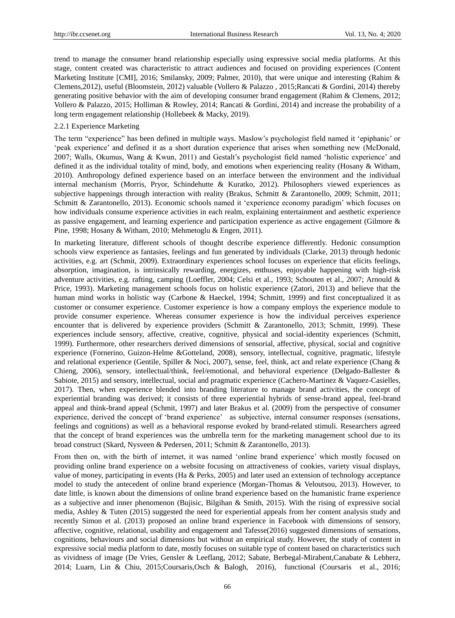trend to manage the consumer brand relationship especially using expressive social media platforms. At this stage, content created was characteristic to attract audiences and focused on providing experiences (Content Marketing Institute [CMI], 2016; Smilansky, 2009; Palmer, 2010), that were unique and interesting (Rahim & Clemens,2012), useful (Bloomstein, 2012) valuable (Vollero & Palazzo , 2015;Rancati & Gordini, 2014) thereby generating positive behavior with the aim of developing consumer brand engagement (Rahim & Clemens, 2012; Vollero & Palazzo, 2015; Holliman & Rowley, 2014; Rancati & Gordini, 2014) and increase the probability of a long term engagement relationship (Hollebeek & Macky, 2019).

## 2.2.1 Experience Marketing

The term "experience" has been defined in multiple ways. Maslow"s psychologist field named it "epiphanic" or "peak experience" and defined it as a short duration experience that arises when something new (McDonald, 2007; Walls, Okumus, Wang & Kwun, 2011) and Gestalt"s psychologist field named "holistic experience" and defined it as the individual totality of mind, body, and emotions when experiencing reality (Hosany & Witham, 2010). Anthropology defined experience based on an interface between the environment and the individual internal mechanism (Morris, Pryor, Schindehutte & Kuratko, 2012). Philosophers viewed experiences as subjective happenings through interaction with reality (Brakus, Schmitt & Zarantonello, 2009; Schmitt, 2011; Schmitt & Zarantonello, 2013). Economic schools named it "experience economy paradigm" which focuses on how individuals consume experience activities in each realm, explaining entertainment and aesthetic experience as passive engagement, and learning experience and participation experience as active engagement (Gilmore & Pine, 1998; Hosany & Witham, 2010; Mehmetoglu & Engen, 2011).

In marketing literature, different schools of thought describe experience differently. Hedonic consumption schools view experience as fantasies, feelings and fun generated by individuals (Clarke, 2013) through hedonic activities, e.g. art (Schmit, 2009). Extraordinary experiences school focuses on experience that elicits feelings, absorption, imagination, is intrinsically rewarding, energizes, enthuses, enjoyable happening with high-risk adventure activities, e.g. rafting, camping (Loeffler, 2004; Celsi et al., 1993; Schouten et al., 2007; Arnould & Price, 1993). Marketing management schools focus on holistic experience (Zatori, 2013) and believe that the human mind works in holistic way (Carbone & Haeckel, 1994; Schmitt, 1999) and first conceptualized it as customer or consumer experience. Customer experience is how a company employs the experience module to provide consumer experience. Whereas consumer experience is how the individual perceives experience encounter that is delivered by experience providers (Schmitt & Zarantonello, 2013; Schmitt, 1999). These experiences include sensory, affective, creative, cognitive, physical and social-identity experiences (Schmitt, 1999). Furthermore, other researchers derived dimensions of sensorial, affective, physical, social and cognitive experience (Fornerino, Guizon-Helme &Gotteland, 2008), sensory, intellectual, cognitive, pragmatic, lifestyle and relational experience (Gentile, Spiller & Noci, 2007), sense, feel, think, act and relate experience (Chang & Chieng, 2006), sensory, intellectual/think, feel/emotional, and behavioral experience (Delgado-Ballester & Sabiote, 2015) and sensory, intellectual, social and pragmatic experience (Cachero-Martinez & Vaquez-Casielles, 2017). Then, when experience blended into branding literature to manage brand activities, the concept of experiential branding was derived; it consists of three experiential hybrids of sense-brand appeal, feel-brand appeal and think-brand appeal (Schmit, 1997) and later Brakus et al. (2009) from the perspective of consumer experience, derived the concept of "brand experience" as subjective, internal consumer responses (sensations, feelings and cognitions) as well as a behavioral response evoked by brand-related stimuli. Researchers agreed that the concept of brand experiences was the umbrella term for the marketing management school due to its broad construct (Skard, Nysveen & Pedersen, 2011; Schmitt & Zarantonello, 2013).

From then on, with the birth of internet, it was named "online brand experience" which mostly focused on providing online brand experience on a website focusing on attractiveness of cookies, variety visual displays, value of money, participating in events (Ha & Perks, 2005) and later used an extension of technology acceptance model to study the antecedent of online brand experience (Morgan-Thomas & Veloutsou, 2013). However, to date little, is known about the dimensions of online brand experience based on the humanistic frame experience as a subjective and inner phenomenon (Bujisic, Bilgihan & Smith, 2015). With the rising of expressive social media, Ashley & Tuten (2015) suggested the need for experiential appeals from her content analysis study and recently Simon et al. (2013) proposed an online brand experience in Facebook with dimensions of sensory, affective, cognitive, relational, usability and engagement and Tafesse(2016) suggested dimensions of sensations, cognitions, behaviours and social dimensions but without an empirical study. However, the study of content in expressive social media platform to date, mostly focuses on suitable type of content based on characteristics such as vividness of image (De Vries, Gensler & Leeflang, 2012; Sabate, Berbegal-Mirabent,Canabate & Lebherz, 2014; Luarn, Lin & Chiu, 2015;Coursaris,Osch & Balogh, 2016), functional (Coursaris et al., 2016;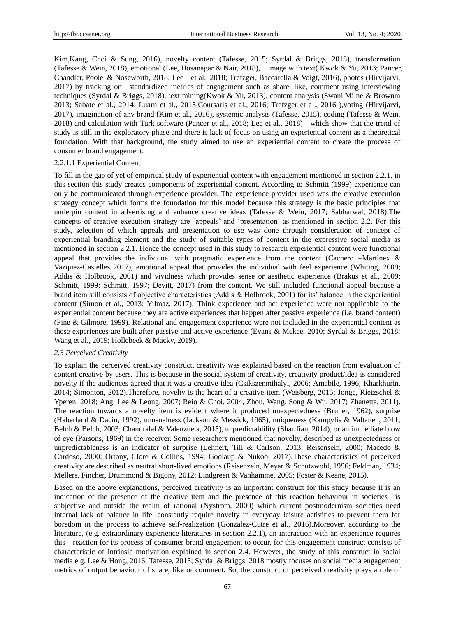Kim,Kang, Choi & Sung, 2016), novelty content (Tafesse, 2015; Syrdal & Briggs, 2018), transformation (Tafesse & Wein, 2018), emotional (Lee, Hosanagar & Nair, 2018), image with text( Kwok & Yu, 2013; Pancer, Chandler, Poole, & Noseworth, 2018; Lee et al., 2018; Trefzger, Baccarella & Voigt, 2016), photos (Hirvijarvi, 2017) by tracking on standardized metrics of engagement such as share, like, comment using interviewing techniques (Syrdal & Briggs, 2018), text mining(Kwok & Yu, 2013), content analysis (Swani,Milne & Brownm 2013; Sabate et al., 2014; Luarn et al., 2015;Coursaris et al., 2016; Trefzger et al., 2016 ),voting (Hirvijarvi, 2017), imagination of any brand (Kim et al., 2016), systemic analysis (Tafesse, 2015), coding (Tafesse & Wein, 2018) and calculation with Turk software (Pancer et al., 2018; Lee et al., 2018) which show that the trend of study is still in the exploratory phase and there is lack of focus on using an experiential content as a theoretical foundation. With that background, the study aimed to use an experiential content to create the process of consumer brand engagement.

#### 2.2.1.1 Experiential Content

To fill in the gap of yet of empirical study of experiential content with engagement mentioned in section 2.2.1, in this section this study creates components of experiential content. According to Schmitt (1999) experience can only be communicated through experience provider. The experience provider used was the creative execution strategy concept which forms the foundation for this model because this strategy is the basic principles that underpin content in advertising and enhance creative ideas (Tafesse & Wein, 2017; Sabharwal, 2018).The concepts of creative execution strategy are "appeals" and "presentation" as mentioned in section 2.2. For this study, selection of which appeals and presentation to use was done through consideration of concept of experiential branding element and the study of suitable types of content in the expressive social media as mentioned in section 2.2.1. Hence the concept used in this study to research experiential content were functional appeal that provides the individual with pragmatic experience from the content (Cachero –Martinex & Vazquez-Casielles 2017), emotional appeal that provides the individual with feel experience (Whiting, 2009; Addis & Holbrook, 2001) and vividness which provides sense or aesthetic experience (Brakus et al., 2009; Schmitt, 1999; Schmitt, 1997; Devitt, 2017) from the content. We still included functional appeal because a brand item still consists of objective characteristics (Addis & Holbrook, 2001) for its" balance in the experiential content (Simon et al., 2013; Yilmaz, 2017). Think experience and act experience were not applicable to the experiential content because they are active experiences that happen after passive experience (i.e. brand content) (Pine & Gilmore, 1999). Relational and engagement experience were not included in the experiential content as these experiences are built after passive and active experience (Evans & Mckee, 2010; Syrdal & Briggs, 2018; Wang et al., 2019; Hollebeek & Macky, 2019).

#### *2.3 Perceived Creativity*

To explain the perceived creativity construct, creativity was explained based on the reaction from evaluation of content creative by users. This is because in the social system of creativity, creativity product/idea is considered novelty if the audiences agreed that it was a creative idea (Csikszenmihalyi, 2006; Amabile, 1996; Kharkhurin, 2014; Simonton, 2012).Therefore, novelty is the heart of a creative item (Weisberg, 2015; Jonge, Rietzschel & Yperen, 2018; Ang, Lee & Leong, 2007; Reio & Choi, 2004, Zhou, Wang, Song & Wu, 2017; Zhanetta, 2011). The reaction towards a novelty item is evident where it produced unexpectedness (Bruner, 1962), surprise (Haberland & Dacin, 1992), unusualness (Jackson & Messick, 1965), uniqueness (Kampylis & Valtanen, 2011; Belch & Belch, 2003; Chandralal & Valenzuela, 2015), unpredictablility (Sharifian, 2014), or an immediate blow of eye (Parsons, 1969) in the receiver. Some researchers mentioned that novelty, described as unexpectedness or unpredictableness is an indicator of surprise (Lehnert, Till & Carlson, 2013; Reisensein, 2000; Macedo & Cardoso, 2000; Ortony, Clore & Collins, 1994; Goolaup & Nukoo, 2017).These characteristics of perceived creativity are described as neutral short-lived emotions (Reisenzein, Meyar & Schutzwohl, 1996; Feldman, 1934; Mellers, Fincher, Drummond & Bigony, 2012; Lindgreen & Vanhamme, 2005; Foster & Keane, 2015).

Based on the above explanations, perceived creativity is an important construct for this study because it is an indication of the presence of the creative item and the presence of this reaction behaviour in societies is subjective and outside the realm of rational (Nystrom, 2000) which current postmodernism societies need internal lack of balance in life, constantly require novelty in everyday leisure activities to prevent them for boredom in the process to achieve self-realization (Gonzalez-Cutre et al., 2016).Moreover, according to the literature, (e.g. extraordinary experience literatures in section 2.2.1), an interaction with an experience requires this reaction for its process of consumer brand engagement to occur, for this engagement construct consists of characteristic of intrinsic motivation explained in section 2.4. However, the study of this construct in social media e.g. Lee & Hong, 2016; Tafesse, 2015; Syrdal & Briggs, 2018 mostly focuses on social media engagement metrics of output behaviour of share, like or comment. So, the construct of perceived creativity plays a role of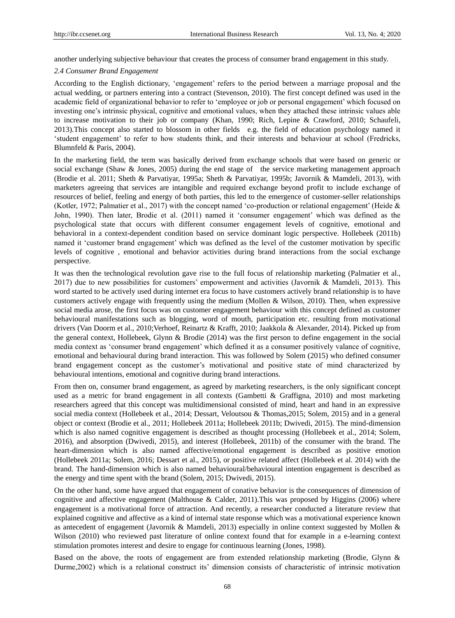another underlying subjective behaviour that creates the process of consumer brand engagement in this study.

#### *2.4 Consumer Brand Engagement*

According to the English dictionary, "engagement" refers to the period between a marriage proposal and the actual wedding, or partners entering into a contract (Stevenson, 2010). The first concept defined was used in the academic field of organizational behavior to refer to 'employee or job or personal engagement' which focused on investing one's intrinsic physical, cognitive and emotional values, when they attached these intrinsic values able to increase motivation to their job or company (Khan, 1990; Rich, Lepine & Crawford, 2010; Schaufeli, 2013).This concept also started to blossom in other fields e.g. the field of education psychology named it "student engagement" to refer to how students think, and their interests and behaviour at school (Fredricks, Blumnfeld & Paris, 2004).

In the marketing field, the term was basically derived from exchange schools that were based on generic or social exchange (Shaw & Jones, 2005) during the end stage of the service marketing management approach (Brodie et al. 2011; Sheth & Parvatiyar, 1995a; Sheth & Parvatiyar, 1995b; Javornik & Mamdeli, 2013), with marketers agreeing that services are intangible and required exchange beyond profit to include exchange of resources of belief, feeling and energy of both parties, this led to the emergence of customer-seller relationships (Kotler, 1972; Palmatier et al., 2017) with the concept named "co-production or relational engagement" (Heide & John, 1990). Then later, Brodie et al. (2011) named it "consumer engagement" which was defined as the psychological state that occurs with different consumer engagement levels of cognitive, emotional and behavioral in a context-dependent condition based on service dominant logic perspective. Hollebeek (2011b) named it "customer brand engagement" which was defined as the level of the customer motivation by specific levels of cognitive , emotional and behavior activities during brand interactions from the social exchange perspective.

It was then the technological revolution gave rise to the full focus of relationship marketing (Palmatier et al., 2017) due to new possibilities for customers' empowerment and activities (Javornik & Mamdeli, 2013). This word started to be actively used during internet era focus to have customers actively brand relationship is to have customers actively engage with frequently using the medium (Mollen & Wilson, 2010). Then, when expressive social media arose, the first focus was on customer engagement behaviour with this concept defined as customer behavioural manifestations such as blogging, word of mouth, participation etc. resulting from motivational drivers (Van Doorm et al., 2010;Verhoef, Reinartz & Krafft, 2010; Jaakkola & Alexander, 2014). Picked up from the general context, Hollebeek, Glynn & Brodie (2014) was the first person to define engagement in the social media context as "consumer brand engagement" which defined it as a consumer positively valance of cognitive, emotional and behavioural during brand interaction. This was followed by Solem (2015) who defined consumer brand engagement concept as the customer"s motivational and positive state of mind characterized by behavioural intentions, emotional and cognitive during brand interactions.

From then on, consumer brand engagement, as agreed by marketing researchers, is the only significant concept used as a metric for brand engagement in all contexts (Gambetti & Graffigna, 2010) and most marketing researchers agreed that this concept was multidimensional consisted of mind, heart and hand in an expressive social media context (Hollebeek et al., 2014; Dessart, Veloutsou & Thomas,2015; Solem, 2015) and in a general object or context (Brodie et al., 2011; Hollebeek 2011a; Hollebeek 2011b; Dwivedi, 2015). The mind-dimension which is also named cognitive engagement is described as thought processing (Hollebeek et al., 2014; Solem, 2016), and absorption (Dwivedi, 2015), and interest (Hollebeek, 2011b) of the consumer with the brand. The heart-dimension which is also named affective/emotional engagement is described as positive emotion (Hollebeek 2011a; Solem, 2016; Dessart et al., 2015), or positive related affect (Hollebeek et al. 2014) with the brand. The hand-dimension which is also named behavioural/behavioural intention engagement is described as the energy and time spent with the brand (Solem, 2015; Dwivedi, 2015).

On the other hand, some have argued that engagement of conative behavior is the consequences of dimension of cognitive and affective engagement (Malthouse & Calder, 2011).This was proposed by Higgins (2006) where engagement is a motivational force of attraction. And recently, a researcher conducted a literature review that explained cognitive and affective as a kind of internal state response which was a motivational experience known as antecedent of engagement (Javornik & Mamdeli, 2013) especially in online context suggested by Mollen & Wilson (2010) who reviewed past literature of online context found that for example in a e-learning context stimulation promotes interest and desire to engage for continuous learning (Jones, 1998).

Based on the above, the roots of engagement are from extended relationship marketing (Brodie, Glynn & Durme,2002) which is a relational construct its" dimension consists of characteristic of intrinsic motivation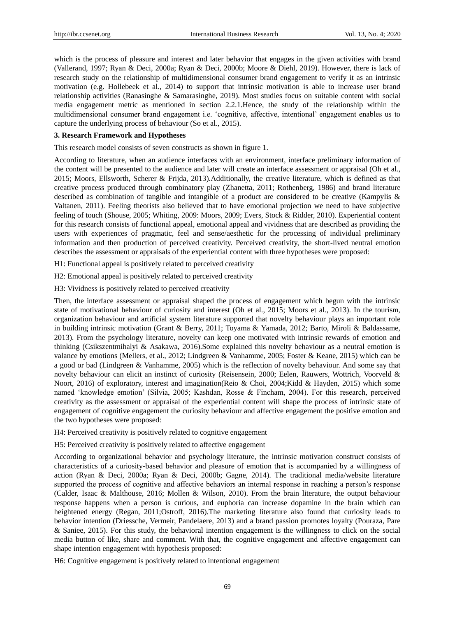which is the process of pleasure and interest and later behavior that engages in the given activities with brand (Vallerand, 1997; Ryan & Deci, 2000a; Ryan & Deci, 2000b; Moore & Diehl, 2019). However, there is lack of research study on the relationship of multidimensional consumer brand engagement to verify it as an intrinsic motivation (e.g. Hollebeek et al., 2014) to support that intrinsic motivation is able to increase user brand relationship activities (Ranasinghe & Samarasinghe, 2019). Most studies focus on suitable content with social media engagement metric as mentioned in section 2.2.1.Hence, the study of the relationship within the multidimensional consumer brand engagement i.e. "cognitive, affective, intentional" engagement enables us to capture the underlying process of behaviour (So et al., 2015).

# **3. Research Framework and Hypotheses**

This research model consists of seven constructs as shown in figure 1.

According to literature, when an audience interfaces with an environment, interface preliminary information of the content will be presented to the audience and later will create an interface assessment or appraisal (Oh et al., 2015; Moors, Ellsworth, Scherer & Frijda, 2013).Additionally, the creative literature, which is defined as that creative process produced through combinatory play (Zhanetta, 2011; Rothenberg, 1986) and brand literature described as combination of tangible and intangible of a product are considered to be creative (Kampylis & Valtanen, 2011). Feeling theorists also believed that to have emotional projection we need to have subjective feeling of touch (Shouse, 2005; Whiting, 2009: Moors, 2009; Evers, Stock & Ridder, 2010). Experiential content for this research consists of functional appeal, emotional appeal and vividness that are described as providing the users with experiences of pragmatic, feel and sense/aesthetic for the processing of individual preliminary information and then production of perceived creativity. Perceived creativity, the short-lived neutral emotion describes the assessment or appraisals of the experiential content with three hypotheses were proposed:

H1: Functional appeal is positively related to perceived creativity

H2: Emotional appeal is positively related to perceived creativity

H3: Vividness is positively related to perceived creativity

Then, the interface assessment or appraisal shaped the process of engagement which begun with the intrinsic state of motivational behaviour of curiosity and interest (Oh et al., 2015; Moors et al., 2013). In the tourism, organization behaviour and artificial system literature supported that novelty behaviour plays an important role in building intrinsic motivation (Grant & Berry, 2011; Toyama & Yamada, 2012; Barto, Miroli & Baldassame, 2013). From the psychology literature, novelty can keep one motivated with intrinsic rewards of emotion and thinking (Csikszentmihalyi & Asakawa, 2016).Some explained this novelty behaviour as a neutral emotion is valance by emotions (Mellers, et al., 2012; Lindgreen & Vanhamme, 2005; Foster & Keane, 2015) which can be a good or bad (Lindgreen & Vanhamme, 2005) which is the reflection of novelty behaviour. And some say that novelty behaviour can elicit an instinct of curiosity (Reisensein, 2000; Eelen, Rauwers, Wottrich, Voorveld & Noort, 2016) of exploratory, interest and imagination(Reio & Choi, 2004;Kidd & Hayden, 2015) which some named "knowledge emotion" (Silvia, 2005; Kashdan, Rosse & Fincham, 2004). For this research, perceived creativity as the assessment or appraisal of the experiential content will shape the process of intrinsic state of engagement of cognitive engagement the curiosity behaviour and affective engagement the positive emotion and the two hypotheses were proposed:

H4: Perceived creativity is positively related to cognitive engagement

H5: Perceived creativity is positively related to affective engagement

According to organizational behavior and psychology literature, the intrinsic motivation construct consists of characteristics of a curiosity-based behavior and pleasure of emotion that is accompanied by a willingness of action (Ryan & Deci, 2000a; Ryan & Deci, 2000b; Gagne, 2014). The traditional media/website literature supported the process of cognitive and affective behaviors an internal response in reaching a person's response (Calder, Isaac & Malthouse, 2016; Mollen & Wilson, 2010). From the brain literature, the output behaviour response happens when a person is curious, and euphoria can increase dopamine in the brain which can heightened energy (Regan, 2011;Ostroff, 2016).The marketing literature also found that curiosity leads to behavior intention (Driessche, Vermeir, Pandelaere, 2013) and a brand passion promotes loyalty (Pouraza, Pare & Saniee, 2015). For this study, the behavioral intention engagement is the willingness to click on the social media button of like, share and comment. With that, the cognitive engagement and affective engagement can shape intention engagement with hypothesis proposed:

H6: Cognitive engagement is positively related to intentional engagement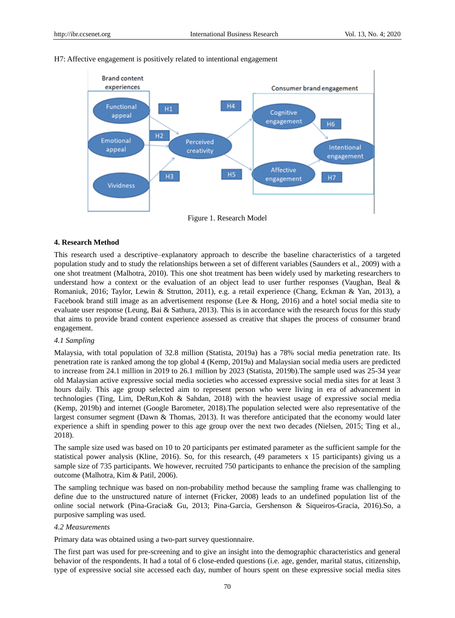

#### H7: Affective engagement is positively related to intentional engagement

Figure 1. Research Model

## **4. Research Method**

This research used a descriptive–explanatory approach to describe the baseline characteristics of a targeted population study and to study the relationships between a set of different variables (Saunders et al., 2009) with a one shot treatment (Malhotra, 2010). This one shot treatment has been widely used by marketing researchers to understand how a context or the evaluation of an object lead to user further responses (Vaughan, Beal & Romaniuk, 2016; Taylor, Lewin & Strutton, 2011), e.g. a retail experience (Chang, Eckman & Yan, 2013), a Facebook brand still image as an advertisement response (Lee & Hong, 2016) and a hotel social media site to evaluate user response (Leung, Bai & Sathura, 2013). This is in accordance with the research focus for this study that aims to provide brand content experience assessed as creative that shapes the process of consumer brand engagement.

#### *4.1 Sampling*

Malaysia, with total population of 32.8 million (Statista, 2019a) has a 78% social media penetration rate. Its penetration rate is ranked among the top global 4 (Kemp, 2019a) and Malaysian social media users are predicted to increase from 24.1 million in 2019 to 26.1 million by 2023 (Statista, 2019b).The sample used was 25-34 year old Malaysian active expressive social media societies who accessed expressive social media sites for at least 3 hours daily. This age group selected aim to represent person who were living in era of advancement in technologies (Ting, Lim, DeRun,Koh & Sahdan, 2018) with the heaviest usage of expressive social media (Kemp, 2019b) and internet (Google Barometer, 2018).The population selected were also representative of the largest consumer segment (Dawn & Thomas, 2013). It was therefore anticipated that the economy would later experience a shift in spending power to this age group over the next two decades (Nielsen, 2015; Ting et al., 2018).

The sample size used was based on 10 to 20 participants per estimated parameter as the sufficient sample for the statistical power analysis (Kline, 2016). So, for this research, (49 parameters x 15 participants) giving us a sample size of 735 participants. We however, recruited 750 participants to enhance the precision of the sampling outcome (Malhotra, Kim & Patil, 2006).

The sampling technique was based on non-probability method because the sampling frame was challenging to define due to the unstructured nature of internet (Fricker, 2008) leads to an undefined population list of the online social network (Pina-Gracia& Gu, 2013; Pina-Garcia, Gershenson & Siqueiros-Gracia, 2016).So, a purposive sampling was used.

#### *4.2 Measurements*

Primary data was obtained using a two-part survey questionnaire.

The first part was used for pre-screening and to give an insight into the demographic characteristics and general behavior of the respondents. It had a total of 6 close-ended questions (i.e. age, gender, marital status, citizenship, type of expressive social site accessed each day, number of hours spent on these expressive social media sites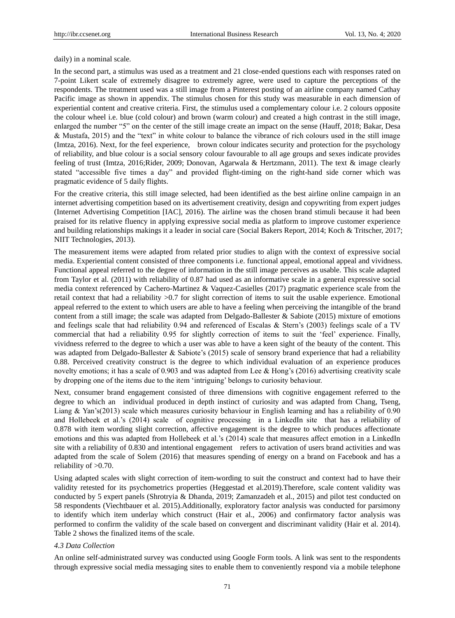daily) in a nominal scale.

In the second part, a stimulus was used as a treatment and 21 close-ended questions each with responses rated on 7-point Likert scale of extremely disagree to extremely agree, were used to capture the perceptions of the respondents. The treatment used was a still image from a Pinterest posting of an airline company named Cathay Pacific image as shown in appendix. The stimulus chosen for this study was measurable in each dimension of experiential content and creative criteria. First, the stimulus used a complementary colour i.e. 2 colours opposite the colour wheel i.e. blue (cold colour) and brown (warm colour) and created a high contrast in the still image, enlarged the number "5" on the center of the still image create an impact on the sense (Hauff, 2018; Bakar, Desa & Mustafa, 2015) and the "text" in white colour to balance the vibrance of rich colours used in the still image (Imtza, 2016). Next, for the feel experience, brown colour indicates security and protection for the psychology of reliability, and blue colour is a social sensory colour favourable to all age groups and sexes indicate provides feeling of trust (Imtza, 2016;Rider, 2009; Donovan, Agarwala & Hertzmann, 2011). The text & image clearly stated "accessible five times a day" and provided flight-timing on the right-hand side corner which was pragmatic evidence of 5 daily flights.

For the creative criteria, this still image selected, had been identified as the best airline online campaign in an internet advertising competition based on its advertisement creativity, design and copywriting from expert judges (Internet Advertising Competition [IAC], 2016). The airline was the chosen brand stimuli because it had been praised for its relative fluency in applying expressive social media as platform to improve customer experience and building relationships makings it a leader in social care (Social Bakers Report, 2014; Koch & Tritscher, 2017; NIIT Technologies, 2013).

The measurement items were adapted from related prior studies to align with the context of expressive social media. Experiential content consisted of three components i.e. functional appeal, emotional appeal and vividness. Functional appeal referred to the degree of information in the still image perceives as usable. This scale adapted from Taylor et al. (2011) with reliability of 0.87 had used as an informative scale in a general expressive social media context referenced by Cachero-Martinez & Vaquez-Casielles (2017) pragmatic experience scale from the retail context that had a reliability >0.7 for slight correction of items to suit the usable experience. Emotional appeal referred to the extent to which users are able to have a feeling when perceiving the intangible of the brand content from a still image; the scale was adapted from Delgado-Ballester & Sabiote (2015) mixture of emotions and feelings scale that had reliability 0.94 and referenced of Escalas & Stern"s (2003) feelings scale of a TV commercial that had a reliability 0.95 for slightly correction of items to suit the "feel" experience. Finally, vividness referred to the degree to which a user was able to have a keen sight of the beauty of the content. This was adapted from Delgado-Ballester & Sabiote's (2015) scale of sensory brand experience that had a reliability 0.88. Perceived creativity construct is the degree to which individual evaluation of an experience produces novelty emotions; it has a scale of 0.903 and was adapted from Lee & Hong's (2016) advertising creativity scale by dropping one of the items due to the item "intriguing" belongs to curiosity behaviour.

Next, consumer brand engagement consisted of three dimensions with cognitive engagement referred to the degree to which an individual produced in depth instinct of curiosity and was adapted from Chang, Tseng, Liang & Yan's(2013) scale which measures curiosity behaviour in English learning and has a reliability of 0.90 and Hollebeek et al."s (2014) scale of cognitive processing in a LinkedIn site that has a reliability of 0.878 with item wording slight correction, affective engagement is the degree to which produces affectionate emotions and this was adapted from Hollebeek et al."s (2014) scale that measures affect emotion in a LinkedIn site with a reliability of 0.830 and intentional engagement refers to activation of users brand activities and was adapted from the scale of Solem (2016) that measures spending of energy on a brand on Facebook and has a reliability of >0.70.

Using adapted scales with slight correction of item-wording to suit the construct and context had to have their validity retested for its psychometrics properties (Heggestad et al.2019).Therefore, scale content validity was conducted by 5 expert panels (Shrotryia & Dhanda, 2019; Zamanzadeh et al., 2015) and pilot test conducted on 58 respondents (Viechtbauer et al. 2015).Additionally, exploratory factor analysis was conducted for parsimony to identify which item underlay which construct (Hair et al., 2006) and confirmatory factor analysis was performed to confirm the validity of the scale based on convergent and discriminant validity (Hair et al. 2014). Table 2 shows the finalized items of the scale.

#### *4.3 Data Collection*

An online self-administrated survey was conducted using Google Form tools. A link was sent to the respondents through expressive social media messaging sites to enable them to conveniently respond via a mobile telephone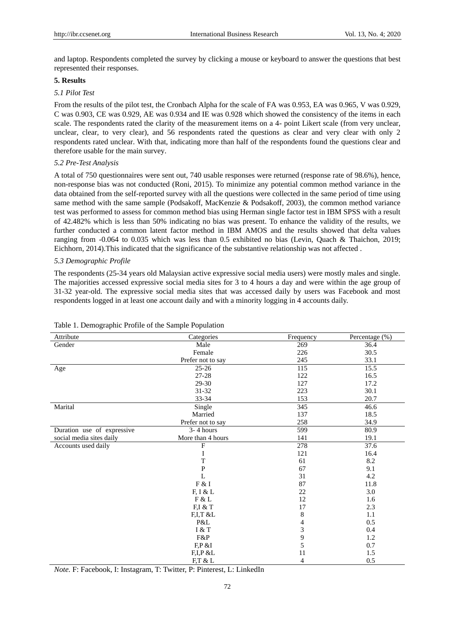and laptop. Respondents completed the survey by clicking a mouse or keyboard to answer the questions that best represented their responses.

#### **5. Results**

# *5.1 Pilot Test*

From the results of the pilot test, the Cronbach Alpha for the scale of FA was 0.953, EA was 0.965, V was 0.929, C was 0.903, CE was 0.929, AE was 0.934 and IE was 0.928 which showed the consistency of the items in each scale. The respondents rated the clarity of the measurement items on a 4- point Likert scale (from very unclear, unclear, clear, to very clear), and 56 respondents rated the questions as clear and very clear with only 2 respondents rated unclear. With that, indicating more than half of the respondents found the questions clear and therefore usable for the main survey.

# *5.2 Pre-Test Analysis*

A total of 750 questionnaires were sent out, 740 usable responses were returned (response rate of 98.6%), hence, non-response bias was not conducted (Roni, 2015). To minimize any potential common method variance in the data obtained from the self-reported survey with all the questions were collected in the same period of time using same method with the same sample (Podsakoff, MacKenzie & Podsakoff, 2003), the common method variance test was performed to assess for common method bias using Herman single factor test in IBM SPSS with a result of 42.482% which is less than 50% indicating no bias was present. To enhance the validity of the results, we further conducted a common latent factor method in IBM AMOS and the results showed that delta values ranging from -0.064 to 0.035 which was less than 0.5 exhibited no bias (Levin, Quach & Thaichon, 2019; Eichhorn, 2014).This indicated that the significance of the substantive relationship was not affected .

# *5.3 Demographic Profile*

The respondents (25-34 years old Malaysian active expressive social media users) were mostly males and single. The majorities accessed expressive social media sites for 3 to 4 hours a day and were within the age group of 31-32 year-old. The expressive social media sites that was accessed daily by users was Facebook and most respondents logged in at least one account daily and with a minority logging in 4 accounts daily.

| Attribute                  | Categories        | Frequency | Percentage (%)    |
|----------------------------|-------------------|-----------|-------------------|
| Gender                     | Male              | 269       | 36.4              |
|                            | Female            | 226       | 30.5              |
|                            | Prefer not to say | 245       | 33.1              |
| Age                        | $25 - 26$         | 115       | 15.5              |
|                            | 27-28             | 122       | 16.5              |
|                            | 29-30             | 127       | 17.2              |
|                            | $31 - 32$         | 223       | 30.1              |
|                            | 33-34             | 153       | 20.7              |
| Marital                    | Single            | 345       | 46.6              |
|                            | Married           | 137       | 18.5              |
|                            | Prefer not to say | 258       | 34.9              |
| Duration use of expressive | $3 - 4$ hours     | 599       | 80.9              |
| social media sites daily   | More than 4 hours | 141       | 19.1              |
| Accounts used daily        | ${\bf F}$         | 278       | $\overline{37.6}$ |
|                            | I                 | 121       | 16.4              |
|                            | T                 | 61        | 8.2               |
|                            | ${\bf P}$         | 67        | 9.1               |
|                            | $\mathbf{L}$      | 31        | 4.2               |
|                            | $F \& I$          | 87        | 11.8              |
|                            | F, I & L          | 22        | 3.0               |
|                            | F & L             | 12        | 1.6               |
|                            | F,I & T           | 17        | 2.3               |
|                            | F, I, T &L        | 8         | 1.1               |
|                            | P&L               | 4         | 0.5               |
|                            | I & T             | 3         | 0.4               |
|                            | F&P               | 9         | 1.2               |
|                            | F, P & I          | 5         | $0.7\,$           |
|                            | F,I,P &L          | 11        | 1.5               |
|                            | F, T & L          | 4         | 0.5               |

## Table 1. Demographic Profile of the Sample Population

*Note.* F: Facebook, I: Instagram, T: Twitter, P: Pinterest, L: LinkedIn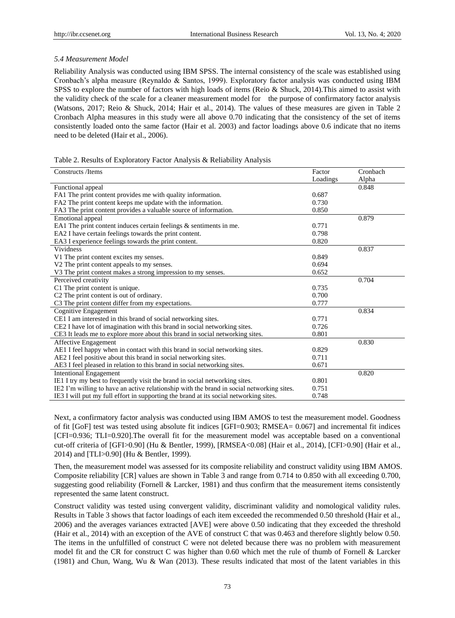# *5.4 Measurement Model*

Reliability Analysis was conducted using IBM SPSS. The internal consistency of the scale was established using Cronbach"s alpha measure (Reynaldo & Santos, 1999). Exploratory factor analysis was conducted using IBM SPSS to explore the number of factors with high loads of items (Reio & Shuck, 2014).This aimed to assist with the validity check of the scale for a cleaner measurement model for the purpose of confirmatory factor analysis (Watsons, 2017; Reio & Shuck, 2014; Hair et al., 2014). The values of these measures are given in Table 2 Cronbach Alpha measures in this study were all above 0.70 indicating that the consistency of the set of items consistently loaded onto the same factor (Hair et al. 2003) and factor loadings above 0.6 indicate that no items need to be deleted (Hair et al., 2006).

# Table 2. Results of Exploratory Factor Analysis & Reliability Analysis

| Constructs /Items                                                                         | Factor   | Cronbach |
|-------------------------------------------------------------------------------------------|----------|----------|
|                                                                                           | Loadings | Alpha    |
| Functional appeal                                                                         |          | 0.848    |
| FA1 The print content provides me with quality information.                               | 0.687    |          |
| FA2 The print content keeps me update with the information.                               | 0.730    |          |
| FA3 The print content provides a valuable source of information.                          | 0.850    |          |
| Emotional appeal                                                                          |          | 0.879    |
| EA1 The print content induces certain feelings $&$ sentiments in me.                      | 0.771    |          |
| EA2 I have certain feelings towards the print content.                                    | 0.798    |          |
| EA3 I experience feelings towards the print content.                                      | 0.820    |          |
| Vividness                                                                                 |          | 0.837    |
| V1 The print content excites my senses.                                                   | 0.849    |          |
| V2 The print content appeals to my senses.                                                | 0.694    |          |
| V3 The print content makes a strong impression to my senses.                              | 0.652    |          |
| Perceived creativity                                                                      |          | 0.704    |
| C1 The print content is unique.                                                           | 0.735    |          |
| C2 The print content is out of ordinary.                                                  | 0.700    |          |
| C3 The print content differ from my expectations.                                         | 0.777    |          |
| Cognitive Engagement                                                                      |          | 0.834    |
| CE1 I am interested in this brand of social networking sites.                             | 0.771    |          |
| CE2 I have lot of imagination with this brand in social networking sites.                 | 0.726    |          |
| CE3 It leads me to explore more about this brand in social networking sites.              | 0.801    |          |
| Affective Engagement                                                                      |          | 0.830    |
| AE1 I feel happy when in contact with this brand in social networking sites.              | 0.829    |          |
| AE2 I feel positive about this brand in social networking sites.                          | 0.711    |          |
| AE3 I feel pleased in relation to this brand in social networking sites.                  | 0.671    |          |
| <b>Intentional Engagement</b>                                                             |          | 0.820    |
| IE1 I try my best to frequently visit the brand in social networking sites.               | 0.801    |          |
| IE2 I'm willing to have an active relationship with the brand in social networking sites. | 0.751    |          |
| IE3 I will put my full effort in supporting the brand at its social networking sites.     | 0.748    |          |

Next, a confirmatory factor analysis was conducted using IBM AMOS to test the measurement model. Goodness of fit [GoF] test was tested using absolute fit indices [GFI=0.903; RMSEA= 0.067] and incremental fit indices [CFI=0.936; TLI=0.920].The overall fit for the measurement model was acceptable based on a conventional cut-off criteria of [GFI>0.90] (Hu & Bentler, 1999), [RMSEA<0.08] (Hair et al., 2014), [CFI>0.90] (Hair et al., 2014) and [TLI>0.90] (Hu & Bentler, 1999).

Then, the measurement model was assessed for its composite reliability and construct validity using IBM AMOS. Composite reliability [CR] values are shown in Table 3 and range from 0.714 to 0.850 with all exceeding 0.700, suggesting good reliability (Fornell & Larcker, 1981) and thus confirm that the measurement items consistently represented the same latent construct.

Construct validity was tested using convergent validity, discriminant validity and nomological validity rules. Results in Table 3 shows that factor loadings of each item exceeded the recommended 0.50 threshold (Hair et al., 2006) and the averages variances extracted [AVE] were above 0.50 indicating that they exceeded the threshold (Hair et al., 2014) with an exception of the AVE of construct C that was 0.463 and therefore slightly below 0.50. The items in the unfulfilled of construct C were not deleted because there was no problem with measurement model fit and the CR for construct C was higher than 0.60 which met the rule of thumb of Fornell & Larcker (1981) and Chun, Wang, Wu & Wan (2013). These results indicated that most of the latent variables in this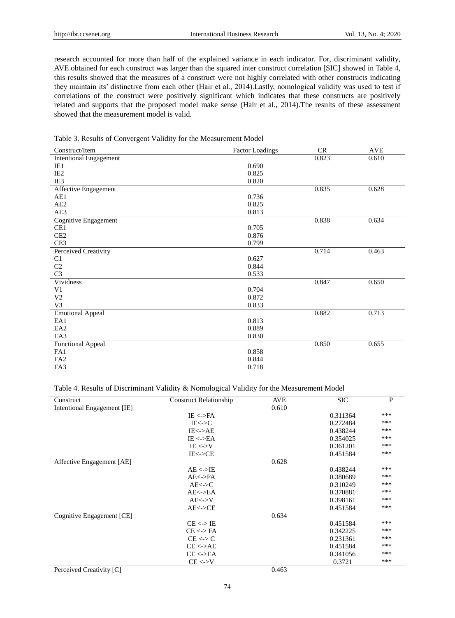research accounted for more than half of the explained variance in each indicator. For, discriminant validity, AVE obtained for each construct was larger than the squared inter construct correlation [SIC] showed in Table 4, this results showed that the measures of a construct were not highly correlated with other constructs indicating they maintain its' distinctive from each other (Hair et al., 2014). Lastly, nomological validity was used to test if correlations of the construct were positively significant which indicates that these constructs are positively related and supports that the proposed model make sense (Hair et al., 2014).The results of these assessment showed that the measurement model is valid.

| Construct/Item                | <b>Factor Loadings</b> | CR    | <b>AVE</b> |
|-------------------------------|------------------------|-------|------------|
| <b>Intentional Engagement</b> |                        | 0.823 | 0.610      |
| IE1                           | 0.690                  |       |            |
| IE <sub>2</sub>               | 0.825                  |       |            |
| IE3                           | 0.820                  |       |            |
| Affective Engagement          |                        | 0.835 | 0.628      |
| AE1                           | 0.736                  |       |            |
| AE <sub>2</sub>               | 0.825                  |       |            |
| AE3                           | 0.813                  |       |            |
| Cognitive Engagement          |                        | 0.838 | 0.634      |
| CE1                           | 0.705                  |       |            |
| CE2                           | 0.876                  |       |            |
| CE3                           | 0.799                  |       |            |
| Perceived Creativity          |                        | 0.714 | 0.463      |
| C <sub>1</sub>                | 0.627                  |       |            |
| C <sub>2</sub>                | 0.844                  |       |            |
| C <sub>3</sub>                | 0.533                  |       |            |
| Vividness                     |                        | 0.847 | 0.650      |
| V1                            | 0.704                  |       |            |
| V <sub>2</sub>                | 0.872                  |       |            |
| V <sub>3</sub>                | 0.833                  |       |            |
| <b>Emotional Appeal</b>       |                        | 0.882 | 0.713      |
| EA1                           | 0.813                  |       |            |
| EA <sub>2</sub>               | 0.889                  |       |            |
| EA3                           | 0.830                  |       |            |
| Functional Appeal             |                        | 0.850 | 0.655      |
| FA1                           | 0.858                  |       |            |
| FA <sub>2</sub>               | 0.844                  |       |            |
| FA3                           | 0.718                  |       |            |

Table 3. Results of Convergent Validity for the Measurement Model

# Table 4. Results of Discriminant Validity & Nomological Validity for the Measurement Model

| Construct                   | <b>Construct Relationship</b> | <b>AVE</b> | <b>SIC</b> | P   |
|-----------------------------|-------------------------------|------------|------------|-----|
| Intentional Engagement [IE] |                               | 0.610      |            |     |
|                             | $IE <$ ->FA                   |            | 0.311364   | *** |
|                             | IE < > C                      |            | 0.272484   | *** |
|                             | IE < >AE                      |            | 0.438244   | *** |
|                             | IE < >EA                      |            | 0.354025   | *** |
|                             | $IE \leftarrow > V$           |            | 0.361201   | *** |
|                             | IE < >CE                      |            | 0.451584   | *** |
| Affective Engagement [AE]   |                               | 0.628      |            |     |
|                             | $AE \leftarrow E$             |            | 0.438244   | *** |
|                             | $AE <$ ->FA                   |            | 0.380689   | *** |
|                             | AE < >C                       |            | 0.310249   | *** |
|                             | AE < >EA                      |            | 0.370881   | *** |
|                             | AE < >>V                      |            | 0.398161   | *** |
|                             | AE < >CE                      |            | 0.451584   | *** |
| Cognitive Engagement [CE]   |                               | 0.634      |            |     |
|                             | $CE \ll F$                    |            | 0.451584   | *** |
|                             | $CE \leftarrow$ FA            |            | 0.342225   | *** |
|                             | $CE \leftarrow>C$             |            | 0.231361   | *** |
|                             | CE < >AE                      |            | 0.451584   | *** |
|                             | CE < >EA                      |            | 0.341056   | *** |
|                             | $CE \leftarrow V$             |            | 0.3721     | *** |
| Perceived Creativity [C]    |                               | 0.463      |            |     |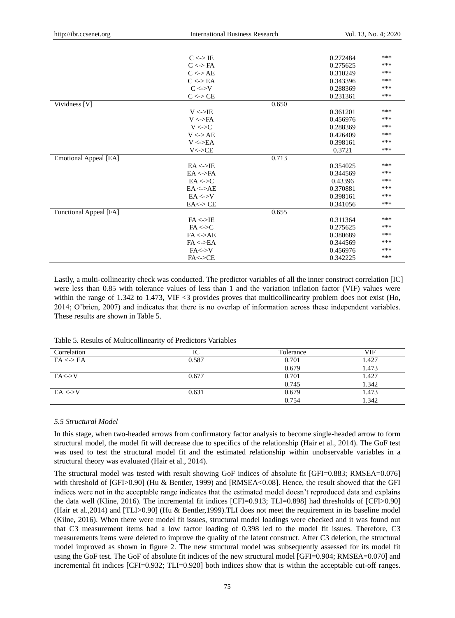|                        | $C \ll D \leq E$     |       | 0.272484 | *** |
|------------------------|----------------------|-------|----------|-----|
|                        | $C \ll FA$           |       | 0.275625 | *** |
|                        | $C \ll > AE$         |       | 0.310249 | *** |
|                        | $C \ll B$ A          |       | 0.343396 | *** |
|                        | $C \ll V$            |       | 0.288369 | *** |
|                        | $C \ll D \le E$      |       | 0.231361 | *** |
| Vividness [V]          |                      | 0.650 |          |     |
|                        | $V \leq > I E$       |       | 0.361201 | *** |
|                        | $V \leq P A$         |       | 0.456976 | *** |
|                        | $V \ll D$            |       | 0.288369 | *** |
|                        | $V \lt\to AE$        |       | 0.426409 | *** |
|                        | $V \le B A$          |       | 0.398161 | *** |
|                        | $V \leftarrow > CE$  |       | 0.3721   | *** |
| Emotional Appeal [EA]  |                      | 0.713 |          |     |
|                        | $EA \leq>E$          |       | 0.354025 | *** |
|                        | $EA \leftarrow >FA$  |       | 0.344569 | *** |
|                        | $EA \leftarrow C$    |       | 0.43396  | *** |
|                        | $EA \leq >AE$        |       | 0.370881 | *** |
|                        | $EA \leftarrow Y$    |       | 0.398161 | *** |
|                        | $EA \leftarrow > CE$ |       | 0.341056 | *** |
| Functional Appeal [FA] |                      | 0.655 |          |     |
|                        | FA < >IE             |       | 0.311364 | *** |
|                        | FA < >C              |       | 0.275625 | *** |
|                        | FA < >AE             |       | 0.380689 | *** |
|                        | FA < >EA             |       | 0.344569 | *** |
|                        | FA < > V             |       | 0.456976 | *** |
|                        | FA < > CE            |       | 0.342225 | *** |

Lastly, a multi-collinearity check was conducted. The predictor variables of all the inner construct correlation [IC] were less than 0.85 with tolerance values of less than 1 and the variation inflation factor (VIF) values were within the range of 1.342 to 1.473, VIF <3 provides proves that multicollinearity problem does not exist (Ho, 2014; O"brien, 2007) and indicates that there is no overlap of information across these independent variables. These results are shown in Table 5.

| Correlation          |       | Tolerance | VIF   |
|----------------------|-------|-----------|-------|
| $FA \leftarrow > EA$ | 0.587 | 0.701     | 1.427 |
|                      |       | 0.679     | 1.473 |
| FA < >V              | 0.677 | 0.701     | 1.427 |
|                      |       | 0.745     | 1.342 |
| $EA \ll U$           | 0.631 | 0.679     | 1.473 |
|                      |       | 0.754     | 1.342 |

Table 5. Results of Multicollinearity of Predictors Variables

#### *5.5 Structural Model*

In this stage, when two-headed arrows from confirmatory factor analysis to become single-headed arrow to form structural model, the model fit will decrease due to specifics of the relationship (Hair et al., 2014). The GoF test was used to test the structural model fit and the estimated relationship within unobservable variables in a structural theory was evaluated (Hair et al., 2014).

The structural model was tested with result showing GoF indices of absolute fit [GFI=0.883; RMSEA=0.076] with threshold of [GFI>0.90] (Hu & Bentler, 1999) and [RMSEA<0.08]. Hence, the result showed that the GFI indices were not in the acceptable range indicates that the estimated model doesn"t reproduced data and explains the data well (Kline, 2016). The incremental fit indices [CFI=0.913; TLI=0.898] had thresholds of [CFI>0.90] (Hair et al.,2014) and [TLI>0.90] (Hu & Bentler,1999).TLI does not meet the requirement in its baseline model (Kilne, 2016). When there were model fit issues, structural model loadings were checked and it was found out that C3 measurement items had a low factor loading of 0.398 led to the model fit issues. Therefore, C3 measurements items were deleted to improve the quality of the latent construct. After C3 deletion, the structural model improved as shown in figure 2. The new structural model was subsequently assessed for its model fit using the GoF test. The GoF of absolute fit indices of the new structural model [GFI=0.904; RMSEA=0.070] and incremental fit indices [CFI=0.932; TLI=0.920] both indices show that is within the acceptable cut-off ranges.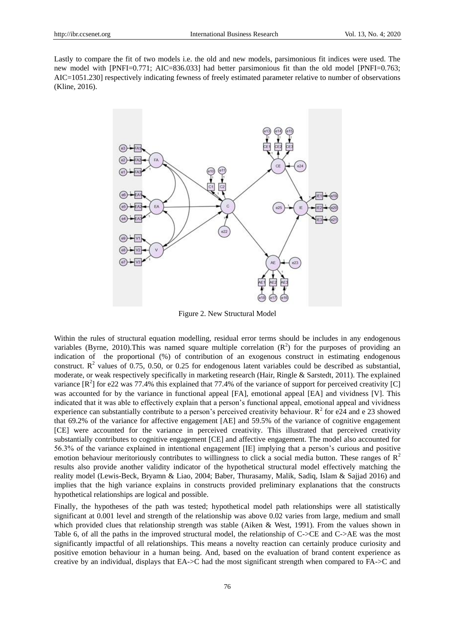Lastly to compare the fit of two models i.e. the old and new models, parsimonious fit indices were used. The new model with [PNFI=0.771; AIC=836.033] had better parsimonious fit than the old model [PNFI=0.763; AIC=1051.230] respectively indicating fewness of freely estimated parameter relative to number of observations (Kline, 2016).



Figure 2. New Structural Model

Within the rules of structural equation modelling, residual error terms should be includes in any endogenous variables (Byrne, 2010). This was named square multiple correlation  $(R^2)$  for the purposes of providing an indication of the proportional (%) of contribution of an exogenous construct in estimating endogenous construct.  $R^2$  values of 0.75, 0.50, or 0.25 for endogenous latent variables could be described as substantial, moderate, or weak respectively specifically in marketing research (Hair, Ringle & Sarstedt, 2011). The explained variance  $[R^2]$  for e22 was 77.4% this explained that 77.4% of the variance of support for perceived creativity [C] was accounted for by the variance in functional appeal [FA], emotional appeal [EA] and vividness [V]. This indicated that it was able to effectively explain that a person"s functional appeal, emotional appeal and vividness experience can substantially contribute to a person's perceived creativity behaviour.  $R^2$  for e24 and e 23 showed that 69.2% of the variance for affective engagement [AE] and 59.5% of the variance of cognitive engagement [CE] were accounted for the variance in perceived creativity. This illustrated that perceived creativity substantially contributes to cognitive engagement [CE] and affective engagement. The model also accounted for 56.3% of the variance explained in intentional engagement [IE] implying that a person"s curious and positive emotion behaviour meritoriously contributes to willingness to click a social media button. These ranges of  $R<sup>2</sup>$ results also provide another validity indicator of the hypothetical structural model effectively matching the reality model (Lewis-Beck, Bryamn & Liao, 2004; Baber, Thurasamy, Malik, Sadiq, Islam & Sajjad 2016) and implies that the high variance explains in constructs provided preliminary explanations that the constructs hypothetical relationships are logical and possible.

Finally, the hypotheses of the path was tested; hypothetical model path relationships were all statistically significant at 0.001 level and strength of the relationship was above 0.02 varies from large, medium and small which provided clues that relationship strength was stable (Aiken & West, 1991). From the values shown in Table 6, of all the paths in the improved structural model, the relationship of C- $>CE$  and C- $>AE$  was the most significantly impactful of all relationships. This means a novelty reaction can certainly produce curiosity and positive emotion behaviour in a human being. And, based on the evaluation of brand content experience as creative by an individual, displays that EA->C had the most significant strength when compared to FA->C and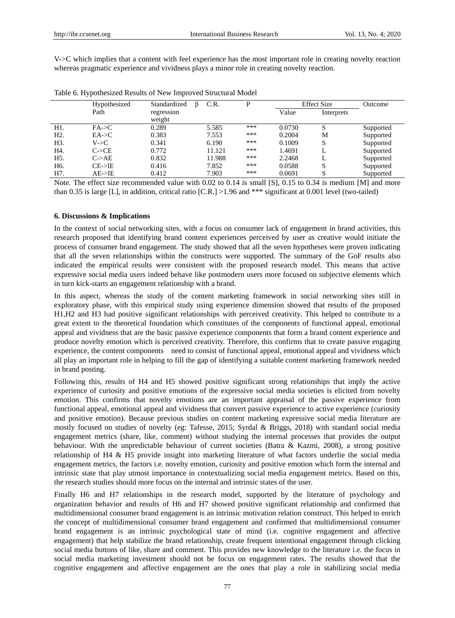V- $\geq$ C which implies that a content with feel experience has the most important role in creating novelty reaction whereas pragmatic experience and vividness plays a minor role in creating novelty reaction.

|                  | Hypothesized | Standardized | C.R.   | D   |        | <b>Effect Size</b> |           |
|------------------|--------------|--------------|--------|-----|--------|--------------------|-----------|
|                  | Path         | regression   |        |     | Value  | Interprets         |           |
|                  |              | weight       |        |     |        |                    |           |
| H1.              | FA > C       | 0.289        | 5.585  | *** | 0.0730 | S                  | Supported |
| H <sub>2</sub> . | E A > C      | 0.383        | 7.553  | *** | 0.2004 | М                  | Supported |
| H3.              | V > C        | 0.341        | 6.190  | *** | 0.1009 | S                  | Supported |
| H4.              | C > CE       | 0.772        | 11.121 | *** | 1.4691 |                    | Supported |
| H <sub>5</sub> . | $C$ ->AE     | 0.832        | 11.988 | *** | 2.2468 |                    | Supported |
| H6.              | $CE$ ->IE    | 0.416        | 7.852  | *** | 0.0588 | S                  | Supported |
| H7.              | AE > HE      | 0.412        | 7.903  | *** | 0.0691 | S                  | Supported |

Table 6. Hypothesized Results of New Improved Structural Model

Note. The effect size recommended value with 0.02 to 0.14 is small [S], 0.15 to 0.34 is medium [M] and more than 0.35 is large [L], in addition, critical ratio [C.R.] >1.96 and \*\*\* significant at 0.001 level (two-tailed)

#### **6. Discussions & Implications**

In the context of social networking sites, with a focus on consumer lack of engagement in brand activities, this research proposed that identifying brand content experiences perceived by user as creative would initiate the process of consumer brand engagement. The study showed that all the seven hypotheses were proven indicating that all the seven relationships within the constructs were supported. The summary of the GoF results also indicated the empirical results were consistent with the proposed research model. This means that active expressive social media users indeed behave like postmodern users more focused on subjective elements which in turn kick-starts an engagement relationship with a brand.

In this aspect, whereas the study of the content marketing framework in social networking sites still in exploratory phase, with this empirical study using experience dimension showed that results of the proposed H1,H2 and H3 had positive significant relationships with perceived creativity. This helped to contribute to a great extent to the theoretical foundation which constitutes of the components of functional appeal, emotional appeal and vividness that are the basic passive experience components that form a brand content experience and produce novelty emotion which is perceived creativity. Therefore, this confirms that to create passive engaging experience, the content components need to consist of functional appeal, emotional appeal and vividness which all play an important role in helping to fill the gap of identifying a suitable content marketing framework needed in brand posting.

Following this, results of H4 and H5 showed positive significant strong relationships that imply the active experience of curiosity and positive emotions of the expressive social media societies is elicited from novelty emotion. This confirms that novelty emotions are an important appraisal of the passive experience from functional appeal, emotional appeal and vividness that convert passive experience to active experience (curiosity and positive emotion). Because previous studies on content marketing expressive social media literature are mostly focused on studies of novelty (eg: Tafesse, 2015; Syrdal & Briggs, 2018) with standard social media engagement metrics (share, like, comment) without studying the internal processes that provides the output behaviour. With the unpredictable behaviour of current societies (Batra & Kazmi, 2008), a strong positive relationship of H4 & H5 provide insight into marketing literature of what factors underlie the social media engagement metrics, the factors i.e. novelty emotion, curiosity and positive emotion which form the internal and intrinsic state that play utmost importance in contextualizing social media engagement metrics. Based on this, the research studies should more focus on the internal and intrinsic states of the user.

Finally H6 and H7 relationships in the research model, supported by the literature of psychology and organization behavior and results of H6 and H7 showed positive significant relationship and confirmed that multidimensional consumer brand engagement is an intrinsic motivation relation construct. This helped to enrich the concept of multidimensional consumer brand engagement and confirmed that multidimensional consumer brand engagement is an intrinsic psychological state of mind (i.e. cognitive engagement and affective engagement) that help stabilize the brand relationship, create frequent intentional engagement through clicking social media buttons of like, share and comment. This provides new knowledge to the literature i.e. the focus in social media marketing investment should not be focus on engagement rates. The results showed that the cognitive engagement and affective engagement are the ones that play a role in stabilizing social media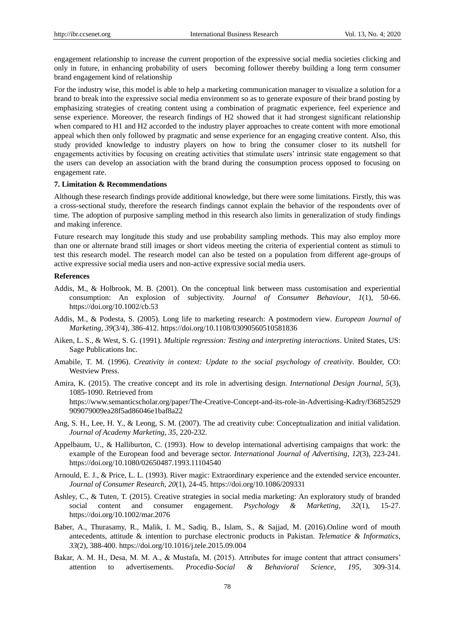engagement relationship to increase the current proportion of the expressive social media societies clicking and only in future, in enhancing probability of users becoming follower thereby building a long term consumer brand engagement kind of relationship

For the industry wise, this model is able to help a marketing communication manager to visualize a solution for a brand to break into the expressive social media environment so as to generate exposure of their brand posting by emphasizing strategies of creating content using a combination of pragmatic experience, feel experience and sense experience. Moreover, the research findings of H2 showed that it had strongest significant relationship when compared to H1 and H2 accorded to the industry player approaches to create content with more emotional appeal which then only followed by pragmatic and sense experience for an engaging creative content. Also, this study provided knowledge to industry players on how to bring the consumer closer to its nutshell for engagements activities by focusing on creating activities that stimulate users" intrinsic state engagement so that the users can develop an association with the brand during the consumption process opposed to focusing on engagement rate.

#### **7. Limitation & Recommendations**

Although these research findings provide additional knowledge, but there were some limitations. Firstly, this was a cross-sectional study, therefore the research findings cannot explain the behavior of the respondents over of time. The adoption of purposive sampling method in this research also limits in generalization of study findings and making inference.

Future research may longitude this study and use probability sampling methods. This may also employ more than one or alternate brand still images or short videos meeting the criteria of experiential content as stimuli to test this research model. The research model can also be tested on a population from different age-groups of active expressive social media users and non-active expressive social media users.

#### **References**

- Addis, M., & Holbrook, M. B. (2001). On the conceptual link between mass customisation and experiential consumption: An explosion of subjectivity. *Journal of Consumer Behaviour*, *1*(1), 50-66. https://doi.org/10.1002/cb.53
- Addis, M., & Podesta, S. (2005). Long life to marketing research: A postmodern view*. European Journal of Marketing*, *39*(3/4), 386-412. https://doi.org/10.1108/03090560510581836
- Aiken, L. S., & West, S. G. (1991). *Multiple regression: Testing and interpreting interactions*. United States, US: Sage Publications Inc.
- Amabile, T. M. (1996). *Creativity in context: Update to the social psychology of creativity*. Boulder, CO: Westview Press.
- Amira, K. (2015). The creative concept and its role in advertising design. *International Design Journal, 5*(3), 1085-1090. Retrieved from https://www.semanticscholar.org/paper/The-Creative-Concept-and-its-role-in-Advertising-Kadry/f36852529 909079009ea28f5ad86046e1baf8a22
- Ang, S. H., Lee, H. Y., & Leong, S. M. (2007). The ad creativity cube: Conceptualization and initial validation. *Journal of Academy Marketing*, *35,* 220-232.
- Appelbaum, U., & Halliburton, C. (1993). How to develop international advertising campaigns that work: the example of the European food and beverage sector. *International Journal of Advertising*, *12*(3), 223-241. <https://doi.org/10.1080/02650487.1993.11104540>
- Arnould, E. J., & Price, L. L. (1993). River magic: Extraordinary experience and the extended service encounter. *Journal of Consumer Research*, *20*(1), 24-45. https://doi.org/10.1086/209331
- Ashley, C., & Tuten, T. (2015). Creative strategies in social media marketing: An exploratory study of branded social content and consumer engagement. *Psychology & Marketing*, *32*(1), 15-27. https://doi.org/10.1002/mar.2076
- Baber, A., Thurasamy, R., Malik, I. M., Sadiq, B., Islam, S., & Sajjad, M. (2016).Online word of mouth antecedents, attitude & intention to purchase electronic products in Pakistan. *Telematice & Informatics*, *33*(2), 388-400.<https://doi.org/10.1016/j.tele.2015.09.004>
- Bakar, A. M. H., Desa, M. M. A., & Mustafa, M. (2015). Attributes for image content that attract consumers" attention to advertisements. *Procedia-Social & Behavioral Science*, *195,* 309-314.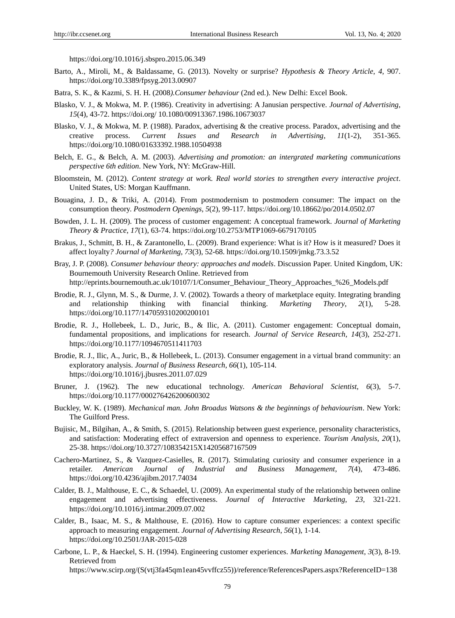https://doi.org/10.1016/j.sbspro.2015.06.349

- Barto, A., Miroli, M., & Baldassame, G. (2013). Novelty or surprise? *Hypothesis & Theory Article*, *4,* 907. <https://doi.org/10.3389/fpsyg.2013.00907>
- Batra, S. K., & Kazmi, S. H. H. (2008*).Consumer behaviour* (2nd ed.). New Delhi: Excel Book.
- Blasko, V. J., & Mokwa, M. P. (1986). Creativity in advertising: A Janusian perspective. *Journal of Advertising*, *15*(4), 43-72. https://doi.org/ 10.1080/00913367.1986.10673037
- Blasko, V. J., & Mokwa, M. P. (1988). Paradox, advertising & the creative process. Paradox, advertising and the creative process. *Current Issues and Research in Advertising*, *11*(1-2), 351-365. https://doi.org/10.1080/01633392.1988.10504938
- Belch, E. G., & Belch, A. M. (2003). *Advertising and promotion: an intergrated marketing communications perspective 6th edition*. New York, NY: McGraw-Hill.
- Bloomstein, M. (2012). *Content strategy at work. Real world stories to strengthen every interactive project*. United States, US: Morgan Kauffmann.
- Bouagina, J. D., & Triki, A. (2014). From postmodernism to postmodern consumer: The impact on the consumption theory. *Postmodern Openings*, *5*(2), 99-117. https://doi.org/10.18662/po/2014.0502.07
- Bowden, J. L. H. (2009). The process of customer engagement: A conceptual framework. *Journal of Marketing Theory & Practice*, *17*(1), 63-74.<https://doi.org/10.2753/MTP1069-6679170105>
- Brakus, J., Schmitt, B. H., & Zarantonello, L. (2009). Brand experience: What is it? How is it measured? Does it affect loyalty*? Journal of Marketing*, *73*(3), 52-68. https://doi.org/10.1509/jmkg.73.3.52
- Bray, J. P. (2008). *Consumer behaviour theory: approaches and models*. Discussion Paper. United Kingdom, UK: Bournemouth University Research Online. Retrieved from http://eprints.bournemouth.ac.uk/10107/1/Consumer\_Behaviour\_Theory\_Approaches\_%26\_Models.pdf
- Brodie, R. J., Glynn, M. S., & Durme, J. V. (2002). Towards a theory of marketplace equity. Integrating branding and relationship thinking with financial thinking. *Marketing Theory*, *2*(1), 5-28. https://doi.org/10.1177/147059310200200101
- Brodie, R. J., Hollebeek, L. D., Juric, B., & Ilic, A. (2011). Customer engagement: Conceptual domain, fundamental propositions, and implications for research. *Journal of Service Research*, *14*(3), 252-271. https://doi.org/10.1177/1094670511411703
- Brodie, R. J., Ilic, A., Juric, B., & Hollebeek, L. (2013). Consumer engagement in a virtual brand community: an exploratory analysis. *Journal of Business Research*, *66*(1), 105-114. <https://doi.org/10.1016/j.jbusres.2011.07.029>
- Bruner, J. (1962). The new educational technology. *American Behavioral Scientist*, *6*(3), 5-7. <https://doi.org/10.1177/000276426200600302>
- Buckley, W. K. (1989). *Mechanical man. John Broadus Watsons & the beginnings of behaviourism*. New York: The Guilford Press.
- Bujisic, M., Bilgihan, A., & Smith, S. (2015). Relationship between guest experience, personality characteristics, and satisfaction: Moderating effect of extraversion and openness to experience. *Tourism Analysis*, *20*(1), 25-38. https://doi.org/10.3727/108354215X14205687167509
- Cachero-Martinez, S., & Vazquez-Casielles, R. (2017). Stimulating curiosity and consumer experience in a retailer. *American Journal of Industrial and Business Management*, *7*(4), 473-486. https://doi.org/10.4236/ajibm.2017.74034
- Calder, B. J., Malthouse, E. C., & Schaedel, U. (2009). An experimental study of the relationship between online engagement and advertising effectiveness. *Journal of Interactive Marketing*, *23,* 321-221. <https://doi.org/10.1016/j.intmar.2009.07.002>
- Calder, B., Isaac, M. S., & Malthouse, E. (2016). How to capture consumer experiences: a context specific approach to measuring engagement. *Journal of Advertising Research*, *56*(1), 1-14. https://doi.org/10.2501/JAR-2015-028
- Carbone, L. P., & Haeckel, S. H. (1994). Engineering customer experiences. *Marketing Management*, *3*(3), 8-19. Retrieved from https://www.scirp.org/(S(vtj3fa45qm1ean45vvffcz55))/reference/ReferencesPapers.aspx?ReferenceID=138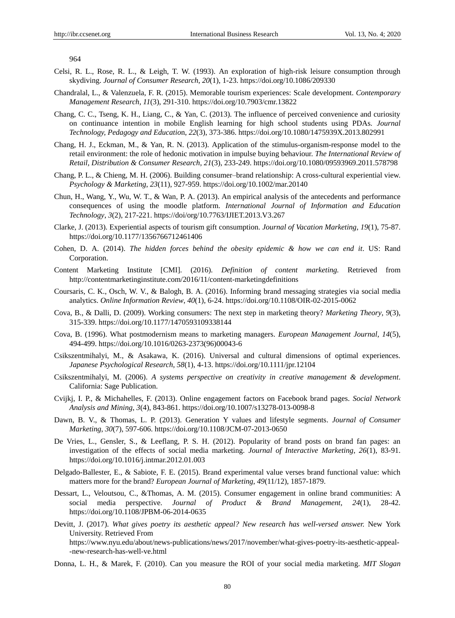964

- Celsi, R. L., Rose, R. L., & Leigh, T. W. (1993). An exploration of high-risk leisure consumption through skydiving. *Journal of Consumer Research*, *20*(1), 1-23. https://doi.org/10.1086/209330
- Chandralal, L., & Valenzuela, F. R. (2015). Memorable tourism experiences: Scale development. *Contemporary Management Research*, *11*(3), 291-310. https://doi.org/10.7903/cmr.13822
- Chang, C. C., Tseng, K. H., Liang, C., & Yan, C. (2013). The influence of perceived convenience and curiosity on continuance intention in mobile English learning for high school students using PDAs. *Journal Technology, Pedagogy and Educatio*n, *22*(3), 373-386.<https://doi.org/10.1080/1475939X.2013.802991>
- Chang, H. J., Eckman, M., & Yan, R. N. (2013). Application of the stimulus-organism-response model to the retail environment: the role of hedonic motivation in impulse buying behaviour. *The International Review of Retail, Distribution & Consumer Research*, *21*(3), 233-249.<https://doi.org/10.1080/09593969.2011.578798>
- Chang, P. L., & Chieng, M. H. (2006). Building consumer–brand relationship: A cross-cultural experiential view. *Psychology & Marketing*, *23*(11), 927-959. https://doi.org/10.1002/mar.20140
- Chun, H., Wang, Y., Wu, W. T., & Wan, P. A. (2013). An empirical analysis of the antecedents and performance consequences of using the moodle platform. *International Journal of Information and Education Technology*, *3*(2), 217-221. https://doi/org/10.7763/IJIET.2013.V3.267
- Clarke, J. (2013). Experiential aspects of tourism gift consumption. *Journal of Vacation Marketing*, *19*(1), 75-87. <https://doi.org/10.1177/1356766712461406>
- Cohen, D. A. (2014). *The hidden forces behind the obesity epidemic & how we can end it*. US: Rand Corporation.
- Content Marketing Institute [CMI]. (2016). *Definition of content marketing.* Retrieved from <http://contentmarketinginstitute.com/2016/11/content-marketingdefinitions>
- Coursaris, C. K., Osch, W. V., & Balogh, B. A. (2016). Informing brand messaging strategies via social media analytics. *Online Information Review*, *40*(1), 6-24.<https://doi.org/10.1108/OIR-02-2015-0062>
- Cova, B., & Dalli, D. (2009). Working consumers: The next step in marketing theory? *Marketing Theory*, *9*(3), 315-339.<https://doi.org/10.1177/1470593109338144>
- Cova, B. (1996). What postmodernism means to marketing managers. *European Management Journal*, *14*(5), 494-499. [https://doi.org/10.1016/0263-2373\(96\)00043-6](https://doi.org/10.1016/0263-2373(96)00043-6)
- Csikszentmihalyi, M., & Asakawa, K. (2016). Universal and cultural dimensions of optimal experiences. *Japanese Psychological Research*, *58*(1), 4-13. https://doi.org/10.1111/jpr.12104
- Csikszentmihalyi, M. (2006). *A systems perspective on creativity in creative management & development*. California: Sage Publication.
- Cvijkj, I. P., & Michahelles, F. (2013). Online engagement factors on Facebook brand pages. *Social Network Analysis and Mining*, *3*(4), 843-861. https://doi.org/10.1007/s13278-013-0098-8
- Dawn, B. V., & Thomas, L. P. (2013). Generation Y values and lifestyle segments. *Journal of Consumer Marketing*, *30*(7), 597-606[. https://doi.org/10.1108/JCM-07-2013-0650](https://doi.org/10.1108/JCM-07-2013-0650)
- De Vries, L., Gensler, S., & Leeflang, P. S. H. (2012). Popularity of brand posts on brand fan pages: an investigation of the effects of social media marketing. *Journal of Interactive Marketing*, *26*(1), 83-91. <https://doi.org/10.1016/j.intmar.2012.01.003>
- Delgado-Ballester, E., & Sabiote, F. E. (2015). Brand experimental value verses brand functional value: which matters more for the brand? *European Journal of Marketing*, *49*(11/12), 1857-1879.
- Dessart, L., Veloutsou, C., &Thomas, A. M. (2015). Consumer engagement in online brand communities: A social media perspective. *Journal of Product & Brand Management*, *24*(1), 28-42. https://doi.org/10.1108/JPBM-06-2014-0635
- Devitt, J. (2017). *What gives poetry its aesthetic appeal? New research has well-versed answer.* New York University. Retrieved From [https://www.nyu.edu/about/news-publications/news/2017/november/what-gives-poetry-its-aesthetic-appeal-](https://www.nyu.edu/about/news-publications/news/2017/november/what-gives-poetry-its-aesthetic-appeal--new-research-has-well-ve.html) [-new-research-has-well-ve.html](https://www.nyu.edu/about/news-publications/news/2017/november/what-gives-poetry-its-aesthetic-appeal--new-research-has-well-ve.html)
- Donna, L. H., & Marek, F. (2010). Can you measure the ROI of your social media marketing. *MIT Slogan*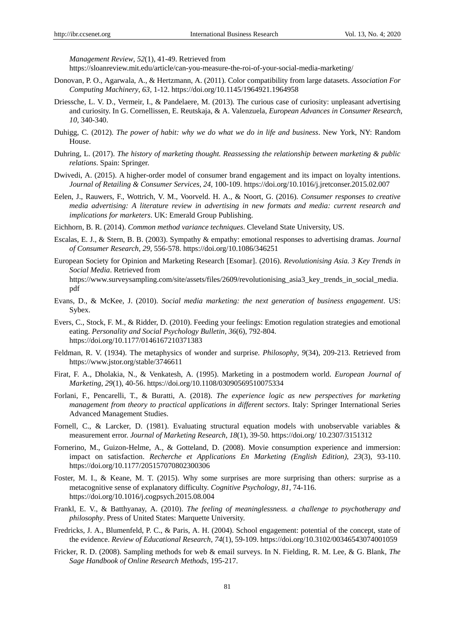*Management Review*, *52*(1), 41-49. Retrieved from

https://sloanreview.mit.edu/article/can-you-measure-the-roi-of-your-social-media-marketing/

- Donovan, P. O., Agarwala, A., & Hertzmann, A. (2011). Color compatibility from large datasets. *Association For Computing Machinery*, *63,* 1-12[. https://doi.org/10.1145/1964921.1964958](https://doi.org/10.1145/1964921.1964958)
- Driessche, L. V. D., Vermeir, I., & Pandelaere, M. (2013). The curious case of curiosity: unpleasant advertising and curiosity. In G. Cornellissen, E. Reutskaja, & A. Valenzuela, *European Advances in Consumer Research*, *10,* 340-340.
- Duhigg, C. (2012). *The power of habit: why we do what we do in life and business*. New York, NY: Random House.
- Duhring, L. (2017). *The history of marketing thought. Reassessing the relationship between marketing & public relations*. Spain: Springer.
- Dwivedi, A. (2015). A higher-order model of consumer brand engagement and its impact on loyalty intentions. *Journal of Retailing & Consumer Services*, *24,* 100-109[. https://doi.org/10.1016/j.jretconser.2015.02.007](https://doi.org/10.1016/j.jretconser.2015.02.007)
- Eelen, J., Rauwers, F., Wottrich, V. M., Voorveld. H. A., & Noort, G. (2016). *Consumer responses to creative media advertising: A literature review in advertising in new formats and media: current research and implications for marketers*. UK: Emerald Group Publishing.
- Eichhorn, B. R. (2014). *Common method variance techniques*. Cleveland State University, US.
- Escalas, E. J., & Stern, B. B. (2003). Sympathy & empathy: emotional responses to advertising dramas. *Journal of Consumer Research*, *29,* 556-578. https://doi.org/10.1086/346251
- European Society for Opinion and Marketing Research [Esomar]. (2016). *Revolutionising Asia. 3 Key Trends in Social Media*. Retrieved from https://www.surveysampling.com/site/assets/files/2609/revolutionising\_asia3\_key\_trends\_in\_social\_media. pdf
- Evans, D., & McKee, J. (2010). *Social media marketing: the next generation of business engagement*. US: Sybex.
- Evers, C., Stock, F. M., & Ridder, D. (2010). Feeding your feelings: Emotion regulation strategies and emotional eating. *Personality and Social Psychology Bulletin*, *36*(6), 792-804. <https://doi.org/10.1177/0146167210371383>
- Feldman, R. V. (1934). The metaphysics of wonder and surprise. *Philosophy*, *9*(34), 209-213. Retrieved from https://www.jstor.org/stable/3746611
- Firat, F. A., Dholakia, N., & Venkatesh, A. (1995). Marketing in a postmodern world. *European Journal of Marketing*, *29*(1), 40-56. https://doi.org/10.1108/03090569510075334
- Forlani, F., Pencarelli, T., & Buratti, A. (2018). *The experience logic as new perspectives for marketing management from theory to practical applications in different sectors*. Italy: Springer International Series Advanced Management Studies.
- Fornell, C., & Larcker, D. (1981). Evaluating structural equation models with unobservable variables & measurement error. *Journal of Marketing Research*, *18*(1), 39-50. https://doi.org/ 10.2307/3151312
- Fornerino, M., Guizon-Helme, A., & Gotteland, D. (2008). Movie consumption experience and immersion: impact on satisfaction. *Recherche et Applications En Marketing (English Edition)*, *23*(3), 93-110. <https://doi.org/10.1177/205157070802300306>
- Foster, M. I., & Keane, M. T. (2015). Why some surprises are more surprising than others: surprise as a metacognitive sense of explanatory difficulty. *Cognitive Psychology*, *81,* 74-116. <https://doi.org/10.1016/j.cogpsych.2015.08.004>
- Frankl, E. V., & Batthyanay, A. (2010). *The feeling of meaninglessness. a challenge to psychotherapy and philosophy*. Press of United States: Marquette University.
- Fredricks, J. A., Blumenfeld, P. C., & Paris, A. H. (2004). School engagement: potential of the concept, state of the evidence. *Review of Educational Research*, *74*(1), 59-109.<https://doi.org/10.3102/00346543074001059>
- Fricker, R. D. (2008). Sampling methods for web & email surveys. In N. Fielding, R. M. Lee, & G. Blank, *The Sage Handbook of Online Research Methods*, 195-217.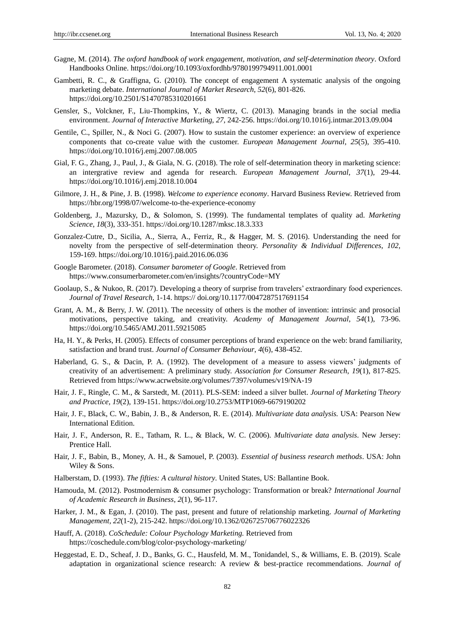- Gagne, M. (2014). *The oxford handbook of work engagement, motivation, and self-determination theory*. Oxford Handbooks Online. https://doi.org/10.1093/oxfordhb/9780199794911.001.0001
- Gambetti, R. C., & Graffigna, G. (2010). The concept of engagement A systematic analysis of the ongoing marketing debate. *International Journal of Market Research*, *52*(6), 801-826. https://doi.org/10.2501/S1470785310201661
- Gensler, S., Volckner, F., Liu-Thompkins, Y., & Wiertz, C. (2013). Managing brands in the social media environment. *Journal of Interactive Marketing*, *27*, 242-256.<https://doi.org/10.1016/j.intmar.2013.09.004>
- Gentile, C., Spiller, N., & Noci G. (2007). How to sustain the customer experience: an overview of experience components that co-create value with the customer. *European Management Journal*, *25*(5), 395-410. <https://doi.org/10.1016/j.emj.2007.08.005>
- Gial, F. G., Zhang, J., Paul, J., & Giala, N. G. (2018). The role of self-determination theory in marketing science: an intergrative review and agenda for research. *European Management Journal*, *37*(1), 29-44. <https://doi.org/10.1016/j.emj.2018.10.004>
- Gilmore, J. H., & Pine, J. B. (1998). *Welcome to experience economy*. Harvard Business Review. Retrieved from <https://hbr.org/1998/07/welcome-to-the-experience-economy>
- Goldenberg, J., Mazursky, D., & Solomon, S. (1999). The fundamental templates of quality ad. *Marketing Science*, *18*(3), 333-351. https://doi.org/10.1287/mksc.18.3.333
- Gonzalez-Cutre, D., Sicilia, A., Sierra, A., Ferriz, R., & Hagger, M. S. (2016). Understanding the need for novelty from the perspective of self-determination theory. *Personality & Individual Differences*, *102,*  159-169.<https://doi.org/10.1016/j.paid.2016.06.036>
- Google Barometer. (2018). *Consumer barometer of Google*. Retrieved from <https://www.consumerbarometer.com/en/insights/?countryCode=MY>
- Goolaup, S., & Nukoo, R. (2017). Developing a theory of surprise from travelers' extraordinary food experiences. *Journal of Travel Research*, 1-14. https:// doi.org/10.1177/0047287517691154
- Grant, A. M., & Berry, J. W. (2011). The necessity of others is the mother of invention: intrinsic and prosocial motivations, perspective taking, and creativity. *Academy of Management Journal*, *54*(1), 73-96. https://doi.org/10.5465/AMJ.2011.59215085
- Ha, H. Y., & Perks, H. (2005). Effects of consumer perceptions of brand experience on the web: brand familiarity, satisfaction and brand trust. *Journal of Consumer Behaviour*, *4*(6), 438-452.
- Haberland, G. S., & Dacin, P. A. (1992). The development of a measure to assess viewers" judgments of creativity of an advertisement: A preliminary study. *Association for Consumer Research*, *19*(1), 817-825. Retrieved from https://www.acrwebsite.org/volumes/7397/volumes/v19/NA-19
- Hair, J. F., Ringle, C. M., & Sarstedt, M. (2011). PLS-SEM: indeed a silver bullet. *Journal of Marketing* T*heory and Practice, 19*(2), 139-151.<https://doi.org/10.2753/MTP1069-6679190202>
- Hair, J. F., Black, C. W., Babin, J. B., & Anderson, R. E. (2014). *Multivariate data analysis.* USA: Pearson New International Edition.
- Hair, J. F., Anderson, R. E., Tatham, R. L., & Black, W. C. (2006). *Multivariate data analysis*. New Jersey: Prentice Hall.
- Hair, J. F., Babin, B., Money, A. H., & Samouel, P. (2003). *Essential of business research methods*. USA: John Wiley & Sons.
- Halberstam, D. (1993). *The fifties: A cultural history*. United States, US: Ballantine Book.
- Hamouda, M. (2012). Postmodernism & consumer psychology: Transformation or break? *International Journal of Academic Research in Business*, *2*(1), 96-117.
- Harker, J. M., & Egan, J. (2010). The past, present and future of relationship marketing. *Journal of Marketing Management*, *22*(1-2), 215-242.<https://doi.org/10.1362/026725706776022326>
- Hauff, A. (2018). *CoSchedule: Colour Psychology Marketing.* Retrieved from https://coschedule.com/blog/color-psychology-marketing/
- Heggestad, E. D., Scheaf, J. D., Banks, G. C., Hausfeld, M. M., Tonidandel, S., & Williams, E. B. (2019). Scale adaptation in organizational science research: A review & best-practice recommendations. *Journal of*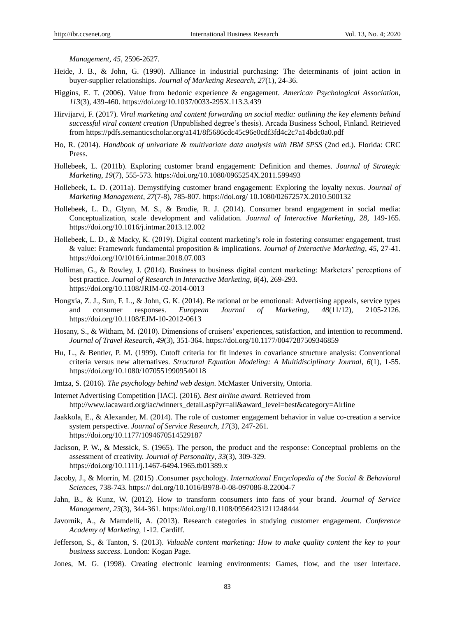*Management*, *45,* 2596-2627.

- Heide, J. B., & John, G. (1990). Alliance in industrial purchasing: The determinants of joint action in buyer-supplier relationships. *Journal of Marketing Research*, *27*(1), 24-36.
- Higgins, E. T. (2006). Value from hedonic experience & engagement. *American Psychological Association*, *113*(3), 439-460. https://doi.org/10.1037/0033-295X.113.3.439
- Hirvijarvi, F. (2017). *Viral marketing and content forwarding on social media: outlining the key elements behind successful viral content creation* (Unpublished degree"s thesis). Arcada Business School, Finland. Retrieved from https://pdfs.semanticscholar.org/a141/8f5686cdc45c96e0cdf3fd4c2c7a14bdc0a0.pdf
- Ho, R. (2014). *Handbook of univariate & multivariate data analysis with IBM SPSS* (2nd ed.). Florida: CRC Press.
- Hollebeek, L. (2011b). Exploring customer brand engagement: Definition and themes. *Journal of Strategic Marketing*, *19*(7), 555-573[. https://doi.org/10.1080/0965254X.2011.599493](https://doi.org/10.1080/0965254X.2011.599493)
- Hollebeek, L. D. (2011a). Demystifying customer brand engagement: Exploring the loyalty nexus. *Journal of Marketing Management*, *27*(7-8), 785-807. https://doi.org/ 10.1080/0267257X.2010.500132
- Hollebeek, L. D., Glynn, M. S., & Brodie, R. J. (2014). Consumer brand engagement in social media: Conceptualization, scale development and validation*. Journal of Interactive Marketing*, *28*, 149-165. <https://doi.org/10.1016/j.intmar.2013.12.002>
- Hollebeek, L. D., & Macky, K. (2019). Digital content marketing's role in fostering consumer engagement, trust & value: Framework fundamental proposition & implications. *Journal of Interactive Marketing*, *45,* 27-41. <https://doi.org/10/1016/i.intmar.2018.07.003>
- Holliman, G., & Rowley, J. (2014). Business to business digital content marketing: Marketers" perceptions of best practice. *Journal of Research in Interactive Marketing*, *8*(4), 269-293. https://doi.org/10.1108/JRIM-02-2014-0013
- Hongxia, Z. J., Sun, F. L., & John, G. K. (2014). Be rational or be emotional: Advertising appeals, service types and consumer responses. *European Journal of Marketing*, *48*(11/12), 2105-2126. <https://doi.org/10.1108/EJM-10-2012-0613>
- Hosany, S., & Witham, M. (2010). Dimensions of cruisers" experiences, satisfaction, and intention to recommend. *Journal of Travel Research*, *49*(3), 351-364. https://doi.org/10.1177/0047287509346859
- Hu, L., & Bentler, P. M. (1999). Cutoff criteria for fit indexes in covariance structure analysis: Conventional criteria versus new alternatives. *Structural Equation Modeling: A Multidisciplinary Journal*, *6*(1), 1-55. https://doi.org/10.1080/10705519909540118
- Imtza, S. (2016). *The psychology behind web design*. McMaster University, Ontoria.
- Internet Advertising Competition [IAC]. (2016). *Best airline award.* Retrieved from [http://www.iacaward.org/iac/winners\\_detail.asp?yr=all&award\\_level=best&category=Airline](http://www.iacaward.org/iac/winners_detail.asp?yr=all&award_level=best&category=Airline)
- Jaakkola, E., & Alexander, M. (2014). The role of customer engagement behavior in value co-creation a service system perspective. *Journal of Service Research*, *17*(3), 247-261. https://doi.org/10.1177/1094670514529187
- Jackson, P. W., & Messick, S. (1965). The person, the product and the response: Conceptual problems on the assessment of creativity. *Journal of Personality*, *33*(3), 309-329. <https://doi.org/10.1111/j.1467-6494.1965.tb01389.x>
- Jacoby, J., & Morrin, M. (2015) .Consumer psychology. *International Encyclopedia of the Social & Behavioral Sciences*, 738-743. https:// doi.org/10.1016/B978-0-08-097086-8.22004-7
- Jahn, B., & Kunz, W. (2012). How to transform consumers into fans of your brand. *Journal of Service Management*, *23*(3), 344-361. https://doi.org/10.1108/09564231211248444
- Javornik, A., & Mamdelli, A. (2013). Research categories in studying customer engagement. *Conference Academy of Marketing*, 1-12. Cardiff.
- Jefferson, S., & Tanton, S. (2013). *Valuable content marketing: How to make quality content the key to your business success*. London: Kogan Page.
- Jones, M. G. (1998). Creating electronic learning environments: Games, flow, and the user interface.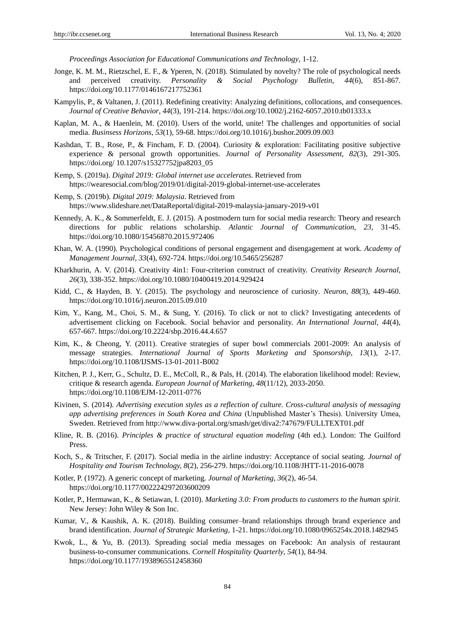*Proceedings Association for Educational Communications and Technology*, 1-12.

- Jonge, K. M. M., Rietzschel, E. F., & Yperen, N. (2018). Stimulated by novelty? The role of psychological needs and perceived creativity. *Personality & Social Psychology Bulletin*, *44*(6), 851-867. <https://doi.org/10.1177/0146167217752361>
- Kampylis, P., & Valtanen, J. (2011). Redefining creativity: Analyzing definitions, collocations, and consequences. *Journal of Creative Behavior*, *44*(3), 191-214. https://doi.org/10.1002/j.2162-6057.2010.tb01333.x
- Kaplan, M. A., & Haenlein, M. (2010). Users of the world, unite! The challenges and opportunities of social media. *Businsess Horizons*, *53*(1), 59-68.<https://doi.org/10.1016/j.bushor.2009.09.003>
- Kashdan, T. B., Rose, P., & Fincham, F. D. (2004). Curiosity & exploration: Facilitating positive subjective experience & personal growth opportunities. *Journal of Personality Assessment*, *82*(3), 291-305. https://doi.org/ 10.1207/s15327752jpa8203\_05
- Kemp, S. (2019a). *Digital 2019: Global internet use accelerates*. Retrieved from <https://wearesocial.com/blog/2019/01/digital-2019-global-internet-use-accelerates>
- Kemp, S. (2019b). *Digital 2019: Malaysia*. Retrieved from <https://www.slideshare.net/DataReportal/digital-2019-malaysia-january-2019-v01>
- Kennedy, A. K., & Sommerfeldt, E. J. (2015). A postmodern turn for social media research: Theory and research directions for public relations scholarship. *Atlantic Journal of Communication*, *23,* 31-45. https://doi.org/10.1080/15456870.2015.972406
- Khan, W. A. (1990). Psychological conditions of personal engagement and disengagement at work. *Academy of Management Journal*, *33*(4), 692-724[. https://doi.org/10.5465/256287](https://doi.org/10.5465/256287)
- Kharkhurin, A. V. (2014). Creativity 4in1: Four-criterion construct of creativity. *Creativity Research Journal*, *26*(3), 338-352.<https://doi.org/10.1080/10400419.2014.929424>
- Kidd, C., & Hayden, B. Y. (2015). The psychology and neuroscience of curiosity*. Neuron*, *88*(3), 449-460. https://doi.org/10.1016/j.neuron.2015.09.010
- Kim, Y., Kang, M., Choi, S. M., & Sung, Y. (2016). To click or not to click? Investigating antecedents of advertisement clicking on Facebook. Social behavior and personality. *An International Journal*, *44*(4), 657-667. https://doi.org/10.2224/sbp.2016.44.4.657
- Kim, K., & Cheong, Y. (2011). Creative strategies of super bowl commercials 2001-2009: An analysis of message strategies. *International Journal of Sports Marketing and Sponsorship*, *13*(1), 2-17. https://doi.org/10.1108/IJSMS-13-01-2011-B002
- Kitchen, P. J., Kerr, G., Schultz, D. E., McColl, R., & Pals, H. (2014). The elaboration likelihood model: Review, critique & research agenda. *European Journal of Marketing*, *48*(11/12), 2033-2050. <https://doi.org/10.1108/EJM-12-2011-0776>
- Kivinen, S. (2014). *Advertising execution styles as a reflection of culture. Cross-cultural analysis of messaging app advertising preferences in South Korea and China* (Unpublished Master"s Thesis). University Umea, Sweden. Retrieved from http://www.diva-portal.org/smash/get/diva2:747679/FULLTEXT01.pdf
- Kline, R. B. (2016). *Principles & practice of structural equation modeling* (4th ed.). London: The Guilford Press.
- Koch, S., & Tritscher, F. (2017). Social media in the airline industry: Acceptance of social seating. *Journal of Hospitality and Tourism Technology, 8*(2), 256-279.<https://doi.org/10.1108/JHTT-11-2016-0078>
- Kotler, P. (1972). A generic concept of marketing. *Journal of Marketing*, *36*(2), 46-54. <https://doi.org/10.1177/002224297203600209>
- Kotler, P., Hermawan, K., & Setiawan, I. (2010). *Marketing 3.0: From products to customers to the human spirit*. New Jersey: John Wiley & Son Inc.
- Kumar, V., & Kaushik, A. K. (2018). Building consumer–brand relationships through brand experience and brand identification. *Journal of Strategic Marketing*, 1-21. https://doi.org/10.1080/0965254x.2018.1482945
- Kwok, L., & Yu, B. (2013). Spreading social media messages on Facebook: An analysis of restaurant business-to-consumer communications. *Cornell Hospitality Quarterly*, *54*(1), 84-94. https://doi.org/10.1177/1938965512458360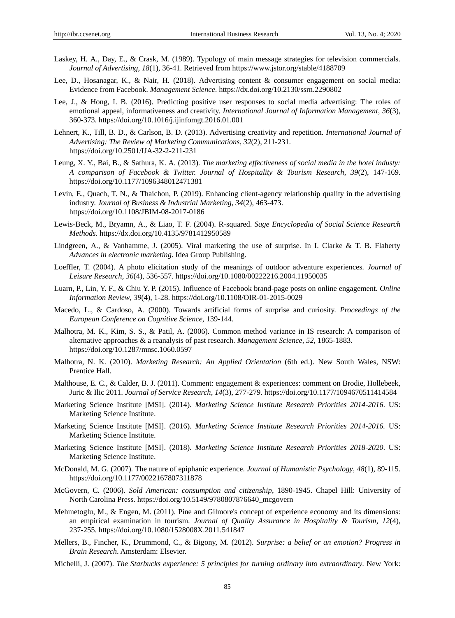- Laskey, H. A., Day, E., & Crask, M. (1989). Typology of main message strategies for television commercials. *Journal of Advertising*, *18*(1), 36-41. Retrieved from <https://www.jstor.org/stable/4188709>
- Lee, D., Hosanagar, K., & Nair, H. (2018). Advertising content & consumer engagement on social media: Evidence from Facebook. *Management Science*[. https://dx.doi.org/10.2130/ssrn.2290802](https://dx.doi.org/10.2130/ssrn.2290802)
- Lee, J., & Hong, I. B. (2016). Predicting positive user responses to social media advertising: The roles of emotional appeal, informativeness and creativity. *International Journal of Information Management*, *36*(3), 360-373.<https://doi.org/10.1016/j.ijinfomgt.2016.01.001>
- Lehnert, K., Till, B. D., & Carlson, B. D. (2013). Advertising creativity and repetition. *International Journal of Advertising: The Review of Marketing Communications*, *32*(2), 211-231. <https://doi.org/10.2501/IJA-32-2-211-231>
- Leung, X. Y., Bai, B., & Sathura, K. A. (2013). *The marketing effectiveness of social media in the hotel industy: A comparison of Facebook & Twitter. Journal of Hospitality & Tourism Research*, *39*(2), 147-169. <https://doi.org/10.1177/1096348012471381>
- Levin, E., Quach, T. N., & Thaichon, P. (2019). Enhancing client-agency relationship quality in the advertising industry. *Journal of Business & Industrial Marketing*, *34*(2), 463-473. <https://doi.org/10.1108/JBIM-08-2017-0186>
- Lewis-Beck, M., Bryamn, A., & Liao, T. F. (2004). R-squared. *Sage Encyclopedia of Social Science Research Methods*.<https://dx.doi.org/10.4135/9781412950589>
- Lindgreen, A., & Vanhamme, J. (2005). Viral marketing the use of surprise. In I. Clarke & T. B. Flaherty *Advances in electronic marketing*. Idea Group Publishing.
- Loeffler, T. (2004). A photo elicitation study of the meanings of outdoor adventure experiences. *Journal of Leisure Research, 36*(4), 536-557.<https://doi.org/10.1080/00222216.2004.11950035>
- Luarn, P., Lin, Y. F., & Chiu Y. P. (2015). Influence of Facebook brand-page posts on online engagement. *Online Information Review*, *39*(4), 1-28. https://doi.org/10.1108/OIR-01-2015-0029
- Macedo, L., & Cardoso, A. (2000). Towards artificial forms of surprise and curiosity. *Proceedings of the European Conference on Cognitive Science*, 139-144.
- Malhotra, M. K., Kim, S. S., & Patil, A. (2006). Common method variance in IS research: A comparison of alternative approaches & a reanalysis of past research. *Management Science*, *52,* 1865-1883. <https://doi.org/10.1287/mnsc.1060.0597>
- Malhotra, N. K. (2010). *Marketing Research: An Applied Orientation* (6th ed.). New South Wales, NSW: Prentice Hall.
- Malthouse, E. C., & Calder, B. J. (2011). Comment: engagement & experiences: comment on Brodie, Hollebeek, Juric & Ilic 2011. *Journal of Service Research*, *14*(3), 277-279. https://doi.org/10.1177/1094670511414584
- Marketing Science Institute [MSI]. (2014). *Marketing Science Institute Research Priorities 2014-2016*. US: Marketing Science Institute.
- Marketing Science Institute [MSI]. (2016). *Marketing Science Institute Research Priorities 2014-2016.* US: Marketing Science Institute.
- Marketing Science Institute [MSI]. (2018). *Marketing Science Institute Research Priorities 2018-2020*. US: Marketing Science Institute.
- McDonald, M. G. (2007). The nature of epiphanic experience. *Journal of Humanistic Psychology*, *48*(1), 89-115. https://doi.org/10.1177/0022167807311878
- McGovern, C. (2006). *Sold American: consumption and citizenship*, 1890-1945. Chapel Hill: University of North Carolina Press. https://doi.org/10.5149/9780807876640\_mcgovern
- Mehmetoglu, M., & Engen, M. (2011). Pine and Gilmore's concept of experience economy and its dimensions: an empirical examination in tourism. *Journal of Quality Assurance in Hospitality & Tourism*, *12*(4), 237-255.<https://doi.org/10.1080/1528008X.2011.541847>
- Mellers, B., Fincher, K., Drummond, C., & Bigony, M. (2012). *Surprise: a belief or an emotion? Progress in Brain Research*. Amsterdam: Elsevier.
- Michelli, J. (2007). *The Starbucks experience: 5 principles for turning ordinary into extraordinary*. New York: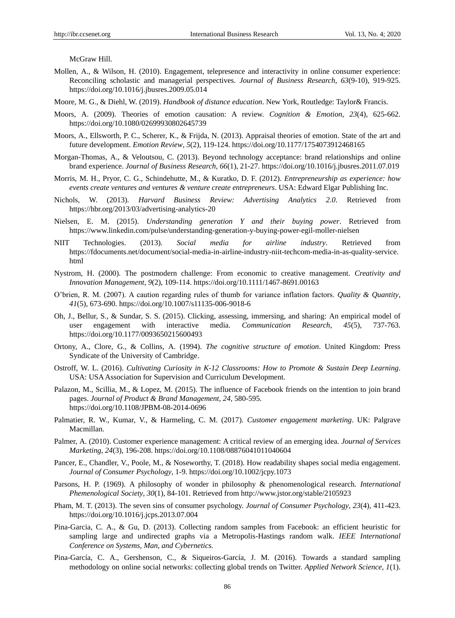McGraw Hill.

- Mollen, A., & Wilson, H. (2010). Engagement, telepresence and interactivity in online consumer experience: Reconciling scholastic and managerial perspectives. *Journal of Business Research*, *63*(9-10), 919-925. <https://doi.org/10.1016/j.jbusres.2009.05.014>
- Moore, M. G., & Diehl, W. (2019). *Handbook of distance education*. New York, Routledge: Taylor& Francis.
- Moors, A. (2009). Theories of emotion causation: A review. *Cognition & Emotion*, *23*(4), 625-662. <https://doi.org/10.1080/02699930802645739>
- Moors, A., Ellsworth, P. C., Scherer, K., & Frijda, N. (2013). Appraisal theories of emotion. State of the art and future development. *Emotion Review*, *5*(2), 119-124.<https://doi.org/10.1177/1754073912468165>
- Morgan-Thomas, A., & Veloutsou, C. (2013). Beyond technology acceptance: brand relationships and online brand experience. *Journal of Business Research, 66*(1), 21-27[. https://doi.org/10.1016/j.jbusres.2011.07.019](https://doi.org/10.1016/j.jbusres.2011.07.019)
- Morris, M. H., Pryor, C. G., Schindehutte, M., & Kuratko, D. F. (2012). *Entrepreneurship as experience: how events create ventures and ventures & venture create entrepreneurs*. USA: Edward Elgar Publishing Inc.
- Nichols, W. (2013). *Harvard Business Review: Advertising Analytics 2.0*. Retrieved from https://hbr.org/2013/03/advertising-analytics-20
- Nielsen, E. M. (2015). *Understanding generation Y and their buying power*. Retrieved from <https://www.linkedin.com/pulse/understanding-generation-y-buying-power-egil-moller-nielsen>
- NIIT Technologies. (2013). *Social media for airline industry*. Retrieved from https://fdocuments.net/document/social-media-in-airline-industry-niit-techcom-media-in-as-quality-service. html
- Nystrom, H. (2000). The postmodern challenge: From economic to creative management. *Creativity and Innovation Management*, *9*(2), 109-114[. https://doi.org/10.1111/1467-8691.00163](https://doi.org/10.1111/1467-8691.00163)
- O"brien, R. M. (2007). A caution regarding rules of thumb for variance inflation factors. *Quality & Quantity*, *41*(5), 673-690. https://doi.org/10.1007/s11135-006-9018-6
- Oh, J., Bellur, S., & Sundar, S. S. (2015). Clicking, assessing, immersing, and sharing: An empirical model of user engagement with interactive media. *Communication Research*, *45*(5), 737-763. <https://doi.org/10.1177/0093650215600493>
- Ortony, A., Clore, G., & Collins, A. (1994). *The cognitive structure of emotion*. United Kingdom: Press Syndicate of the University of Cambridge.
- Ostroff, W. L. (2016). *Cultivating Curiosity in K-12 Classrooms: How to Promote & Sustain Deep Learning*. USA: USA Association for Supervision and Curriculum Development.
- Palazon, M., Scillia, M., & Lopez, M. (2015). The influence of Facebook friends on the intention to join brand pages. *Journal of Product & Brand Management*, *24,* 580-595. <https://doi.org/10.1108/JPBM-08-2014-0696>
- Palmatier, R. W., Kumar, V., & Harmeling, C. M. (2017). *Customer engagement marketing*. UK: Palgrave Macmillan.
- Palmer, A. (2010). Customer experience management: A critical review of an emerging idea. *Journal of Services Marketing*, *24*(3), 196-208[. https://doi.org/10.1108/08876041011040604](https://doi.org/10.1108/08876041011040604)
- Pancer, E., Chandler, V., Poole, M., & Noseworthy, T. (2018). How readability shapes social media engagement. *Journal of Consumer Psychology*, 1-9.<https://doi.org/10.1002/jcpy.1073>
- Parsons, H. P. (1969). A philosophy of wonder in philosophy & phenomenological research. *International Phemenological Society*, *30*(1), 84-101. Retrieved from http://www.jstor.org/stable/2105923
- Pham, M. T. (2013). The seven sins of consumer psychology. *Journal of Consumer Psychology*, *23*(4), 411-423. <https://doi.org/10.1016/j.jcps.2013.07.004>
- Pina-Garcia, C. A., & Gu, D. (2013). Collecting random samples from Facebook: an efficient heuristic for sampling large and undirected graphs via a Metropolis-Hastings random walk. *IEEE International Conference on Systems, Man, and Cybernetics.*
- Pina-García, C. A., Gershenson, C., & Siqueiros-García, J. M. (2016). Towards a standard sampling methodology on online social networks: collecting global trends on Twitter. *Applied Network Science*, *1*(1).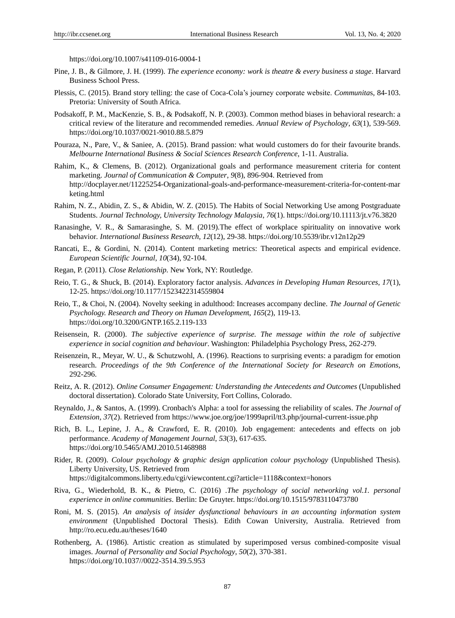https://doi.org/10.1007/s41109-016-0004-1

- Pine, J. B., & Gilmore, J. H. (1999). *The experience economy: work is theatre & every business a stage*. Harvard Business School Press.
- Plessis, C. (2015). Brand story telling: the case of Coca-Cola"s journey corporate website. *Communita*s, 84-103. Pretoria: University of South Africa.
- Podsakoff, P. M., MacKenzie, S. B., & Podsakoff, N. P. (2003). Common method biases in behavioral research: a critical review of the literature and recommended remedies. *Annual Review of Psychology*, *63*(1), 539-569. https://doi.org/10.1037/0021-9010.88.5.879
- Pouraza, N., Pare, V., & Saniee, A. (2015). Brand passion: what would customers do for their favourite brands. *Melbourne International Business & Social Sciences Research Conference*, 1-11. Australia.
- Rahim, K., & Clemens, B. (2012). Organizational goals and performance measurement criteria for content marketing. *Journal of Communication & Computer*, *9*(8), 896-904. Retrieved from http://docplayer.net/11225254-Organizational-goals-and-performance-measurement-criteria-for-content-mar keting.html
- Rahim, N. Z., Abidin, Z. S., & Abidin, W. Z. (2015). The Habits of Social Networking Use among Postgraduate Students. *Journal Technology, University Technology Malaysia*, *76*(1).<https://doi.org/10.11113/jt.v76.3820>
- Ranasinghe, V. R., & Samarasinghe, S. M. (2019).The effect of workplace spirituality on innovative work behavior*. International Business Research*, *12*(12), 29-38. https://doi.org/10.5539/ibr.v12n12p29
- Rancati, E., & Gordini, N. (2014). Content marketing metrics: Theoretical aspects and empirical evidence. *European Scientific Journal*, *10*(34), 92-104.
- Regan, P. (2011). *Close Relationship.* New York, NY: Routledge.
- Reio, T. G., & Shuck, B. (2014). Exploratory factor analysis. *Advances in Developing Human Resources*, *17*(1), 12-25. https://doi.org/10.1177/1523422314559804
- Reio, T., & Choi, N. (2004). Novelty seeking in adulthood: Increases accompany decline. *The Journal of Genetic Psychology. Research and Theory on Human Developmen*t, *165*(2), 119-13. https://doi.org/10.3200/GNTP.165.2.119-133
- Reisensein, R. (2000). *The subjective experience of surprise. The message within the role of subjective experience in social cognition and behaviour*. Washington: Philadelphia Psychology Press, 262-279.
- Reisenzein, R., Meyar, W. U., & Schutzwohl, A. (1996). Reactions to surprising events: a paradigm for emotion research. *Proceedings of the 9th Conference of the International Society for Research on Emotions,* 292-296.
- Reitz, A. R. (2012). *Online Consumer Engagement: Understanding the Antecedents and Outcomes* (Unpublished doctoral dissertation). Colorado State University, Fort Collins, Colorado.
- Reynaldo, J., & Santos, A. (1999). Cronbach's Alpha: a tool for assessing the reliability of scales. *The Journal of Extension*, *37*(2). Retrieved from https://www.joe.org/joe/1999april/tt3.php/journal-current-issue.php
- Rich, B. L., Lepine, J. A., & Crawford, E. R. (2010). Job engagement: antecedents and effects on job performance. *Academy of Management Journal*, *53*(3), 617-635. https://doi.org/10.5465/AMJ.2010.51468988
- Rider, R. (2009). *Colour psychology & graphic design application colour psychology* (Unpublished Thesis). Liberty University, US. Retrieved from https://digitalcommons.liberty.edu/cgi/viewcontent.cgi?article=1118&context=honors
- Riva, G., Wiederhold, B. K., & Pietro, C. (2016) .*The psychology of social networking vol.1. personal experience in online communities*. Berlin: De Gruyter. https://doi.org/10.1515/9783110473780
- Roni, M. S. (2015). *An analysis of insider dysfunctional behaviours in an accounting information system environment* (Unpublished Doctoral Thesis). Edith Cowan University, Australia. Retrieved from http://ro.ecu.edu.au/theses/1640
- Rothenberg, A. (1986). Artistic creation as stimulated by superimposed versus combined-composite visual images. *Journal of Personality and Social Psychology*, *50*(2), 370-381. https://doi.org/10.1037//0022-3514.39.5.953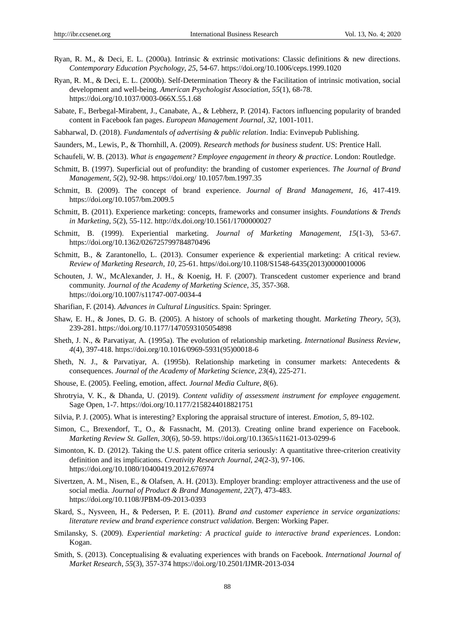- Ryan, R. M., & Deci, E. L. (2000a). Intrinsic & extrinsic motivations: Classic definitions & new directions. *Contemporary Education Psychology*, *25*, 54-67.<https://doi.org/10.1006/ceps.1999.1020>
- Ryan, R. M., & Deci, E. L. (2000b). Self-Determination Theory & the Facilitation of intrinsic motivation, social development and well-being. *American Psychologist Association*, *55*(1), 68-78. <https://doi.org/10.1037/0003-066X.55.1.68>
- Sabate, F., Berbegal-Mirabent, J., Canabate, A., & Lebherz, P. (2014). Factors influencing popularity of branded content in Facebook fan pages. *European Management Journal*, *32,* 1001-1011.
- Sabharwal, D. (2018). *Fundamentals of advertising & public relation*. India: Evinvepub Publishing.
- Saunders, M., Lewis, P., & Thornhill, A. (2009). *Research methods for business student*. US: Prentice Hall.
- Schaufeli, W. B. (2013). *What is engagement? Employee engagement in theory & practice*. London: Routledge.
- Schmitt, B. (1997). Superficial out of profundity: the branding of customer experiences. *The Journal of Brand Management*, *5*(2), 92-98. https://doi.org/ 10.1057/bm.1997.35
- Schmitt, B. (2009). The concept of brand experience. *Journal of Brand Management*, *16,* 417-419. https://doi.org/10.1057/bm.2009.5
- Schmitt, B. (2011). Experience marketing: concepts, frameworks and consumer insights. *Foundations & Trends in Marketing*, *5*(2), 55-112[. http://dx.doi.org/10.1561/1700000027](http://dx.doi.org/10.1561/1700000027)
- Schmitt, B. (1999). Experiential marketing. *Journal of Marketing Management*, *15*(1-3), 53-67. <https://doi.org/10.1362/026725799784870496>
- Schmitt, B., & Zarantonello, L. (2013). Consumer experience & experiential marketing: A critical review. *Review of Marketing Research*, *10,* 25-61. https//doi.org/10.1108/S1548-6435(2013)0000010006
- Schouten, J. W., McAlexander, J. H., & Koenig, H. F. (2007). Transcedent customer experience and brand community. *Journal of the Academy of Marketing Science*, *35,* 357-368. https://doi.org/10.1007/s11747-007-0034-4
- Sharifian, F. (2014). *Advances in Cultural Lingusitics*. Spain: Springer.
- Shaw, E. H., & Jones, D. G. B. (2005). A history of schools of marketing thought. *Marketing Theory*, *5*(3), 239-281.<https://doi.org/10.1177/1470593105054898>
- Sheth, J. N., & Parvatiyar, A. (1995a). The evolution of relationship marketing. *International Business Review*, *4*(4), 397-418. [https://doi.org/10.1016/0969-5931\(95\)00018-6](https://doi.org/10.1016/0969-5931(95)00018-6)
- Sheth, N. J., & Parvatiyar, A. (1995b). Relationship marketing in consumer markets: Antecedents & consequences. *Journal of the Academy of Marketing Science*, *23*(4), 225-271.
- Shouse, E. (2005). Feeling, emotion, affect. *Journal Media Culture*, *8*(6).
- Shrotryia, V. K., & Dhanda, U. (2019). *Content validity of assessment instrument for employee engagement.*  Sage Open, 1-7.<https://doi.org/10.1177/2158244018821751>
- Silvia, P. J. (2005). What is interesting? Exploring the appraisal structure of interest. *Emotion, 5,* 89-102.
- Simon, C., Brexendorf, T., O., & Fassnacht, M. (2013). Creating online brand experience on Facebook. *Marketing Review St. Gallen*, *30*(6), 50-59. https://doi.org/10.1365/s11621-013-0299-6
- Simonton, K. D. (2012). Taking the U.S. patent office criteria seriously: A quantitative three-criterion creativity definition and its implications. *Creativity Research Journal*, *24*(2-3), 97-106. https://doi.org/10.1080/10400419.2012.676974
- Sivertzen, A. M., Nisen, E., & Olafsen, A. H. (2013). Employer branding: employer attractiveness and the use of social media. *Journal of Product & Brand Management*, *22*(7), 473-483. https://doi.org/10.1108/JPBM-09-2013-0393
- Skard, S., Nysveen, H., & Pedersen, P. E. (2011). *Brand and customer experience in service organizations: literature review and brand experience construct validation*. Bergen: Working Paper.
- Smilansky, S. (2009). *Experiential marketing: A practical guide to interactive brand experiences*. London: Kogan.
- Smith, S. (2013). Conceptualising & evaluating experiences with brands on Facebook. *International Journal of Market Research*, *55*(3), 357-374 https://doi.org/10.2501/IJMR-2013-034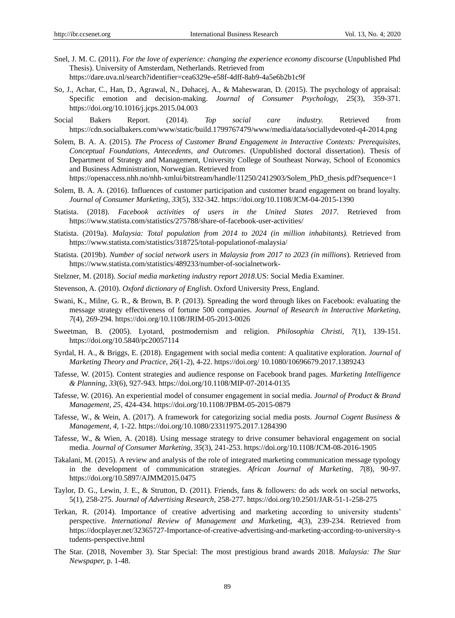- Snel, J. M. C. (2011). *For the love of experience: changing the experience economy discourse* (Unpublished Phd Thesis). University of Amsterdam, Netherlands. Retrieved from https://dare.uva.nl/search?identifier=cea6329e-e58f-4dff-8ab9-4a5e6b2b1c9f
- So, J., Achar, C., Han, D., Agrawal, N., Duhacej, A., & Maheswaran, D. (2015). The psychology of appraisal: Specific emotion and decision-making. *Journal of Consumer Psychology, 25*(3), 359-371. <https://doi.org/10.1016/j.jcps.2015.04.003>
- Social Bakers Report. (2014). *Top social care industry.* Retrieved from <https://cdn.socialbakers.com/www/static/build.1799767479/www/media/data/sociallydevoted-q4-2014.png>
- Solem, B. A. A. (2015). *The Process of Customer Brand Engagement in Interactive Contexts: Prerequisites, Conceptual Foundations, Antecedents, and Outcomes*. (Unpublished doctoral dissertation). Thesis of Department of Strategy and Management, University College of Southeast Norway, School of Economics and Business Administration, Norwegian. Retrieved from

https://openaccess.nhh.no/nhh-xmlui/bitstream/handle/11250/2412903/Solem\_PhD\_thesis.pdf?sequence=1

- Solem, B. A. A. (2016). Influences of customer participation and customer brand engagement on brand loyalty. *Journal of Consumer Marketing*, *33*(5), 332-342. https://doi.org/10.1108/JCM-04-2015-1390
- Statista. (2018). *Facebook activities of users in the United States 2017*. Retrieved from <https://www.statista.com/statistics/275788/share-of-facebook-user-activities/>
- Statista. (2019a). *Malaysia: Total population from 2014 to 2024 (in million inhabitants).* Retrieved from <https://www.statista.com/statistics/318725/total-populationof-malaysia/>
- Statista. (2019b). *Number of social network users in Malaysia from 2017 to 2023 (in millions*). Retrieved from <https://www.statista.com/statistics/489233/number-of-socialnetwork->
- Stelzner, M. (2018). *Social media marketing industry report 2018*.US: Social Media Examiner.
- Stevenson, A. (2010). *Oxford dictionary of English*. Oxford University Press, England.
- Swani, K., Milne, G. R., & Brown, B. P. (2013). Spreading the word through likes on Facebook: evaluating the message strategy effectiveness of fortune 500 companies. *Journal of Research in Interactive Marketing*, *7*(4), 269-294.<https://doi.org/10.1108/JRIM-05-2013-0026>
- Sweetman, B. (2005). Lyotard, postmodernism and religion. *Philosophia Christi*, *7*(1), 139-151. https://doi.org/10.5840/pc20057114
- Syrdal, H. A., & Briggs, E. (2018). Engagement with social media content: A qualitative exploration. *Journal of Marketing Theory and Practice*, *26*(1-2), 4-22. https://doi.org/ 10.1080/10696679.2017.1389243
- Tafesse, W. (2015). Content strategies and audience response on Facebook brand pages. *Marketing Intelligence & Planning*, *33*(6), 927-943.<https://doi.org/10.1108/MIP-07-2014-0135>
- Tafesse, W. (2016). An experiential model of consumer engagement in social media. *Journal of Product & Brand Management, 25,* 424-434. https://doi.org/10.1108/JPBM-05-2015-0879
- Tafesse, W., & Wein, A. (2017). A framework for categorizing social media posts. *Journal Cogent Business & Management, 4,* 1-22. https://doi.org/10.1080/23311975.2017.1284390
- Tafesse, W., & Wien, A. (2018). Using message strategy to drive consumer behavioral engagement on social media. *Journal of Consumer Marketing*, *35*(3), 241-253[. https://doi.org/10.1108/JCM-08-2016-1905](https://doi.org/10.1108/JCM-08-2016-1905)
- Takalani, M. (2015). A review and analysis of the role of integrated marketing communication message typology in the development of communication strategies. *African Journal of Marketing*, *7*(8), 90-97. https://doi.org/10.5897/AJMM2015.0475
- Taylor, D. G., Lewin, J. E., & Strutton, D. (2011). Friends, fans & followers: do ads work on social networks, 5(1), 258-275. *Journal of Advertising Research*, 258-277. https://doi.org/10.2501/JAR-51-1-258-275
- Terkan, R. (2014). Importance of creative advertising and marketing according to university students" perspective. *International Review of Management and Ma*rketing, *4*(3), 239-234. Retrieved from https://docplayer.net/32365727-Importance-of-creative-advertising-and-marketing-according-to-university-s tudents-perspective.html
- The Star. (2018, November 3). Star Special: The most prestigious brand awards 2018. *Malaysia: The Star Newspaper,* p. 1-48.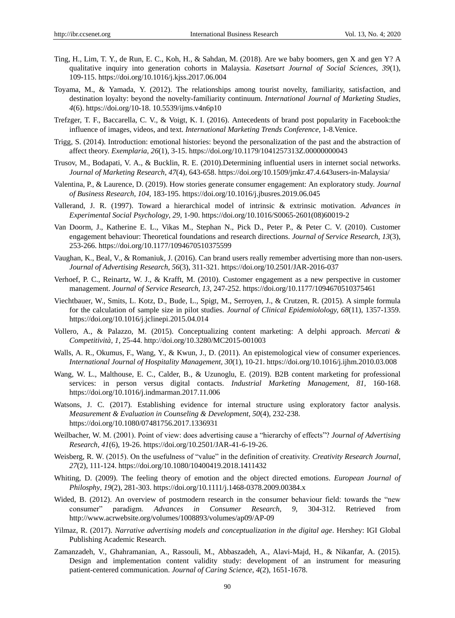- Ting, H., Lim, T. Y., de Run, E. C., Koh, H., & Sahdan, M. (2018). Are we baby boomers, gen X and gen Y? A qualitative inquiry into generation cohorts in Malaysia. *Kasetsart Journal of Social Sciences*, *39*(1), 109-115.<https://doi.org/10.1016/j.kjss.2017.06.004>
- Toyama, M., & Yamada, Y. (2012). The relationships among tourist novelty, familiarity, satisfaction, and destination loyalty: beyond the novelty-familiarity continuum. *International Journal of Marketing Studies*, *4*(6). https://doi.org/10-18. 10.5539/ijms.v4n6p10
- Trefzger, T. F., Baccarella, C. V., & Voigt, K. I. (2016). Antecedents of brand post popularity in Facebook:the influence of images, videos, and text. *International Marketing Trends Conference*, 1-8.Venice.
- Trigg, S. (2014). Introduction: emotional histories: beyond the personalization of the past and the abstraction of affect theory. *Exemplaria*, *26*(1), 3-15[. https://doi.org/10.1179/1041257313Z.00000000043](https://doi.org/10.1179/1041257313Z.00000000043)
- Trusov, M., Bodapati, V. A., & Bucklin, R. E. (2010).Determining influential users in internet social networks. *Journal of Marketing Research*, *47*(4), 643-658. https://doi.org/10.1509/jmkr.47.4.643users-in-Malaysia/
- Valentina, P., & Laurence, D. (2019). How stories generate consumer engagement: An exploratory study. *Journal of Business Research*, *104,* 183-195.<https://doi.org/10.1016/j.jbusres.2019.06.045>
- Vallerand, J. R. (1997). Toward a hierarchical model of intrinsic & extrinsic motivation. *Advances in Experimental Social Psychology*, *29,* 1-90. [https://doi.org/10.1016/S0065-2601\(08\)60019-2](https://doi.org/10.1016/S0065-2601(08)60019-2)
- Van Doorm, J., Katherine E. L., Vikas M., Stephan N., Pick D., Peter P., & Peter C. V. (2010). Customer engagement behaviour: Theoretical foundations and research directions. *Journal of Service Research*, *13*(3), 253-266.<https://doi.org/10.1177/1094670510375599>
- Vaughan, K., Beal, V., & Romaniuk, J. (2016). Can brand users really remember advertising more than non-users. *Journal of Advertising Research*, *56*(3), 311-321. https://doi.org/10.2501/JAR-2016-037
- Verhoef, P. C., Reinartz, W. J., & Krafft, M. (2010). Customer engagement as a new perspective in customer management. *Journal of Service Research*, *13,* 247-252.<https://doi.org/10.1177/1094670510375461>
- Viechtbauer, W., Smits, L. Kotz, D., Bude, L., Spigt, M., Serroyen, J., & Crutzen, R. (2015). A simple formula for the calculation of sample size in pilot studies. *Journal of Clinical Epidemiolology, 68*(11), 1357-1359. https://doi.org/10.1016/j.jclinepi.2015.04.014
- Vollero, A., & Palazzo, M. (2015). Conceptualizing content marketing: A delphi approach. *Mercati & Competitività, 1*, 25-44. http://doi.org/10.3280/MC2015-001003
- Walls, A. R., Okumus, F., Wang, Y., & Kwun, J., D. (2011). An epistemological view of consumer experiences. *International Journal of Hospitality Management, 30*(1), 10-21.<https://doi.org/10.1016/j.ijhm.2010.03.008>
- Wang, W. L., Malthouse, E. C., Calder, B., & Uzunoglu, E. (2019). B2B content marketing for professional services: in person versus digital contacts. *Industrial Marketing Management*, *81,* 160-168. <https://doi.org/10.1016/j.indmarman.2017.11.006>
- Watsons, J. C. (2017). Establishing evidence for internal structure using exploratory factor analysis. *Measurement & Evaluation in Counseling & Development*, *50*(4), 232-238. https://doi.org/10.1080/07481756.2017.1336931
- Weilbacher, W. M. (2001). Point of view: does advertising cause a "hierarchy of effects"? *Journal of Advertising Research*, *41*(6), 19-26. https://doi.org/10.2501/JAR-41-6-19-26.
- Weisberg, R. W. (2015). On the usefulness of "value" in the definition of creativity. *Creativity Research Journal*, *27*(2), 111-124. https://doi.org/10.1080/10400419.2018.1411432
- Whiting, D. (2009). The feeling theory of emotion and the object directed emotions. *European Journal of Philosphy*, *19*(2), 281-303.<https://doi.org/10.1111/j.1468-0378.2009.00384.x>
- Wided, B. (2012). An overview of postmodern research in the consumer behaviour field: towards the "new consumer" paradigm. *Advances in Consumer Research*, *9,* 304-312. Retrieved from <http://www.acrwebsite.org/volumes/1008893/volumes/ap09/AP-09>
- Yilmaz, R. (2017). *Narrative advertising models and conceptualization in the digital age*. Hershey: IGI Global Publishing Academic Research.
- Zamanzadeh, V., Ghahramanian, A., Rassouli, M., Abbaszadeh, A., Alavi-Majd, H., & Nikanfar, A. (2015). Design and implementation content validity study: development of an instrument for measuring patient-centered communication. *Journal of Caring Science*, *4*(2), 1651-1678.